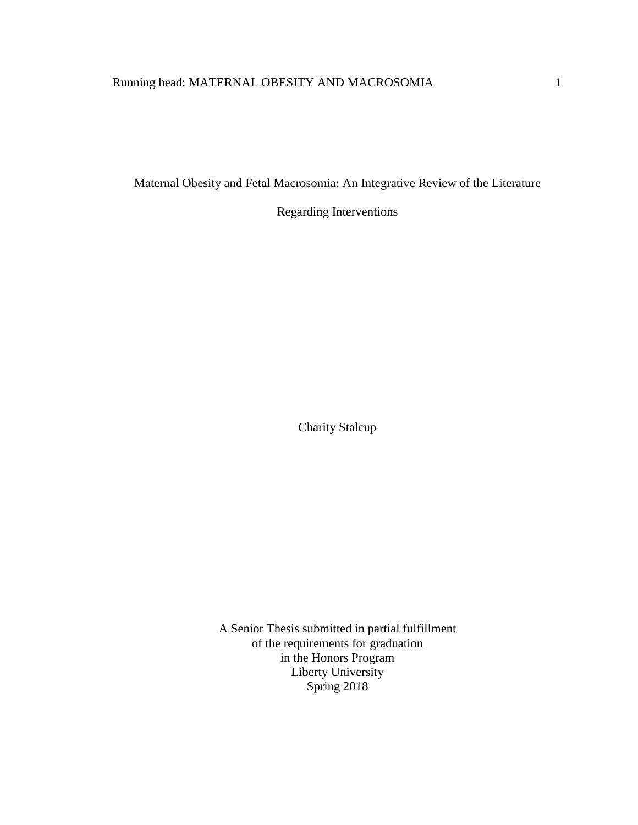# Running head: MATERNAL OBESITY AND MACROSOMIA 1

Maternal Obesity and Fetal Macrosomia: An Integrative Review of the Literature

Regarding Interventions

Charity Stalcup

A Senior Thesis submitted in partial fulfillment of the requirements for graduation in the Honors Program Liberty University Spring 2018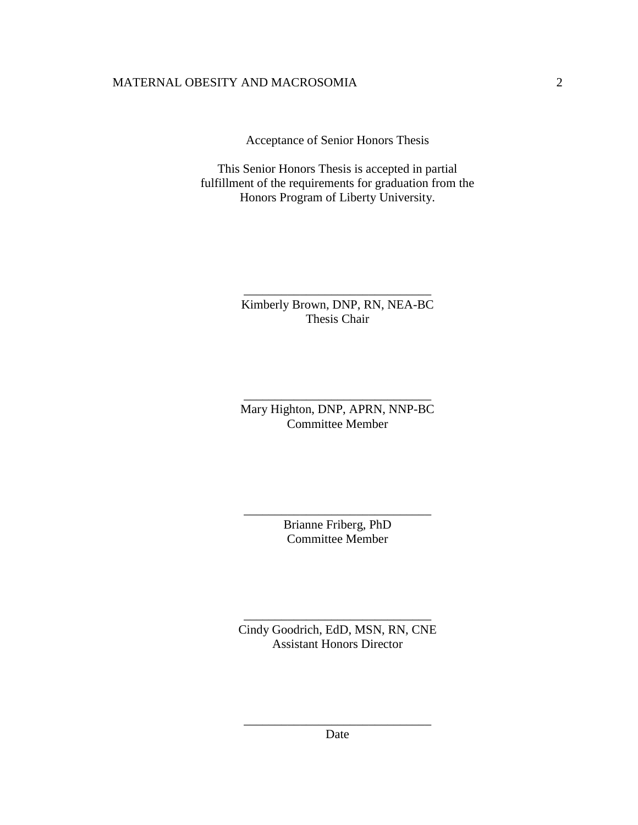Acceptance of Senior Honors Thesis

This Senior Honors Thesis is accepted in partial fulfillment of the requirements for graduation from the Honors Program of Liberty University.

> Kimberly Brown, DNP, RN, NEA-BC Thesis Chair

\_\_\_\_\_\_\_\_\_\_\_\_\_\_\_\_\_\_\_\_\_\_\_\_\_\_\_\_\_\_

Mary Highton, DNP, APRN, NNP-BC Committee Member

\_\_\_\_\_\_\_\_\_\_\_\_\_\_\_\_\_\_\_\_\_\_\_\_\_\_\_\_\_\_

Brianne Friberg, PhD Committee Member

\_\_\_\_\_\_\_\_\_\_\_\_\_\_\_\_\_\_\_\_\_\_\_\_\_\_\_\_\_\_

Cindy Goodrich, EdD, MSN, RN, CNE Assistant Honors Director

\_\_\_\_\_\_\_\_\_\_\_\_\_\_\_\_\_\_\_\_\_\_\_\_\_\_\_\_\_\_

\_\_\_\_\_\_\_\_\_\_\_\_\_\_\_\_\_\_\_\_\_\_\_\_\_\_\_\_\_\_ Date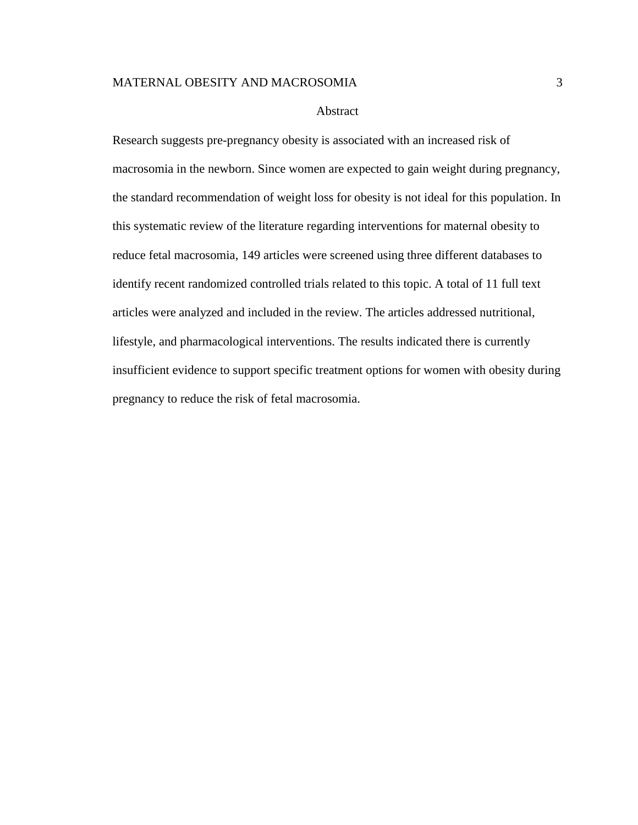#### Abstract

Research suggests pre-pregnancy obesity is associated with an increased risk of macrosomia in the newborn. Since women are expected to gain weight during pregnancy, the standard recommendation of weight loss for obesity is not ideal for this population. In this systematic review of the literature regarding interventions for maternal obesity to reduce fetal macrosomia, 149 articles were screened using three different databases to identify recent randomized controlled trials related to this topic. A total of 11 full text articles were analyzed and included in the review. The articles addressed nutritional, lifestyle, and pharmacological interventions. The results indicated there is currently insufficient evidence to support specific treatment options for women with obesity during pregnancy to reduce the risk of fetal macrosomia.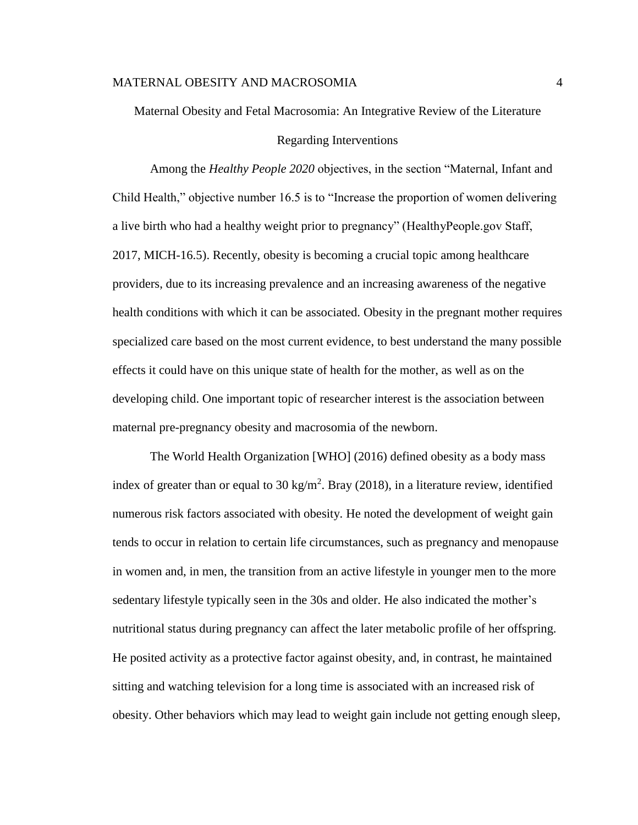Maternal Obesity and Fetal Macrosomia: An Integrative Review of the Literature

#### Regarding Interventions

Among the *Healthy People 2020* objectives, in the section "Maternal, Infant and Child Health," objective number 16.5 is to "Increase the proportion of women delivering a live birth who had a healthy weight prior to pregnancy" (HealthyPeople.gov Staff, 2017, MICH-16.5). Recently, obesity is becoming a crucial topic among healthcare providers, due to its increasing prevalence and an increasing awareness of the negative health conditions with which it can be associated. Obesity in the pregnant mother requires specialized care based on the most current evidence, to best understand the many possible effects it could have on this unique state of health for the mother, as well as on the developing child. One important topic of researcher interest is the association between maternal pre-pregnancy obesity and macrosomia of the newborn.

The World Health Organization [WHO] (2016) defined obesity as a body mass index of greater than or equal to 30 kg/m<sup>2</sup>. Bray (2018), in a literature review, identified numerous risk factors associated with obesity. He noted the development of weight gain tends to occur in relation to certain life circumstances, such as pregnancy and menopause in women and, in men, the transition from an active lifestyle in younger men to the more sedentary lifestyle typically seen in the 30s and older. He also indicated the mother's nutritional status during pregnancy can affect the later metabolic profile of her offspring. He posited activity as a protective factor against obesity, and, in contrast, he maintained sitting and watching television for a long time is associated with an increased risk of obesity. Other behaviors which may lead to weight gain include not getting enough sleep,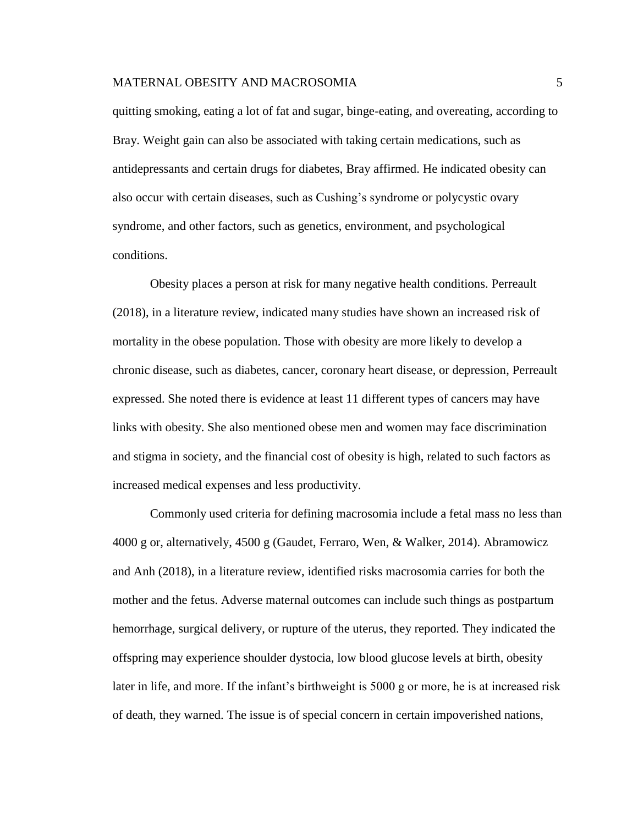quitting smoking, eating a lot of fat and sugar, binge-eating, and overeating, according to Bray. Weight gain can also be associated with taking certain medications, such as antidepressants and certain drugs for diabetes, Bray affirmed. He indicated obesity can also occur with certain diseases, such as Cushing's syndrome or polycystic ovary syndrome, and other factors, such as genetics, environment, and psychological conditions.

Obesity places a person at risk for many negative health conditions. Perreault (2018), in a literature review, indicated many studies have shown an increased risk of mortality in the obese population. Those with obesity are more likely to develop a chronic disease, such as diabetes, cancer, coronary heart disease, or depression, Perreault expressed. She noted there is evidence at least 11 different types of cancers may have links with obesity. She also mentioned obese men and women may face discrimination and stigma in society, and the financial cost of obesity is high, related to such factors as increased medical expenses and less productivity.

Commonly used criteria for defining macrosomia include a fetal mass no less than 4000 g or, alternatively, 4500 g (Gaudet, Ferraro, Wen, & Walker, 2014). Abramowicz and Anh (2018), in a literature review, identified risks macrosomia carries for both the mother and the fetus. Adverse maternal outcomes can include such things as postpartum hemorrhage, surgical delivery, or rupture of the uterus, they reported. They indicated the offspring may experience shoulder dystocia, low blood glucose levels at birth, obesity later in life, and more. If the infant's birthweight is 5000 g or more, he is at increased risk of death, they warned. The issue is of special concern in certain impoverished nations,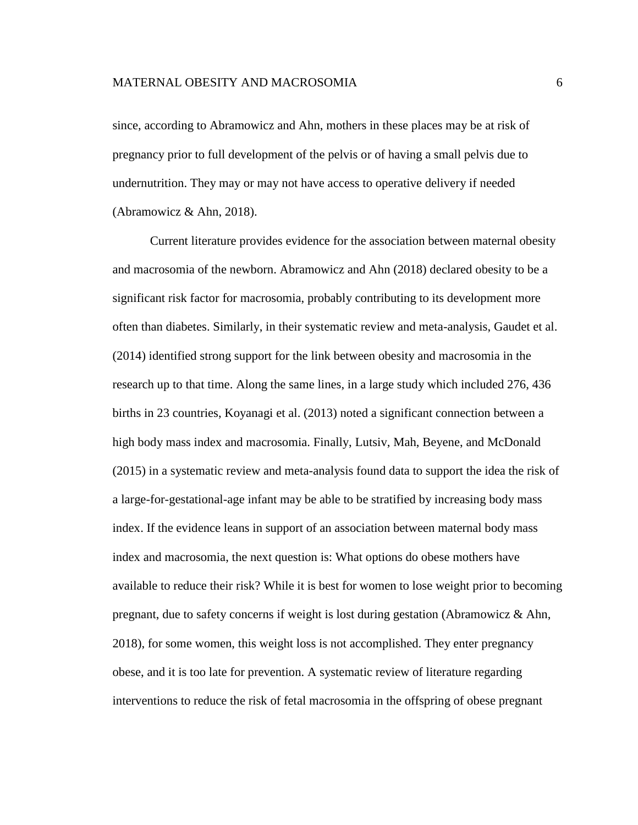since, according to Abramowicz and Ahn, mothers in these places may be at risk of pregnancy prior to full development of the pelvis or of having a small pelvis due to undernutrition. They may or may not have access to operative delivery if needed (Abramowicz & Ahn, 2018).

Current literature provides evidence for the association between maternal obesity and macrosomia of the newborn. Abramowicz and Ahn (2018) declared obesity to be a significant risk factor for macrosomia, probably contributing to its development more often than diabetes. Similarly, in their systematic review and meta-analysis, Gaudet et al. (2014) identified strong support for the link between obesity and macrosomia in the research up to that time. Along the same lines, in a large study which included 276, 436 births in 23 countries, Koyanagi et al. (2013) noted a significant connection between a high body mass index and macrosomia. Finally, Lutsiv, Mah, Beyene, and McDonald (2015) in a systematic review and meta-analysis found data to support the idea the risk of a large-for-gestational-age infant may be able to be stratified by increasing body mass index. If the evidence leans in support of an association between maternal body mass index and macrosomia, the next question is: What options do obese mothers have available to reduce their risk? While it is best for women to lose weight prior to becoming pregnant, due to safety concerns if weight is lost during gestation (Abramowicz  $\&$  Ahn, 2018), for some women, this weight loss is not accomplished. They enter pregnancy obese, and it is too late for prevention. A systematic review of literature regarding interventions to reduce the risk of fetal macrosomia in the offspring of obese pregnant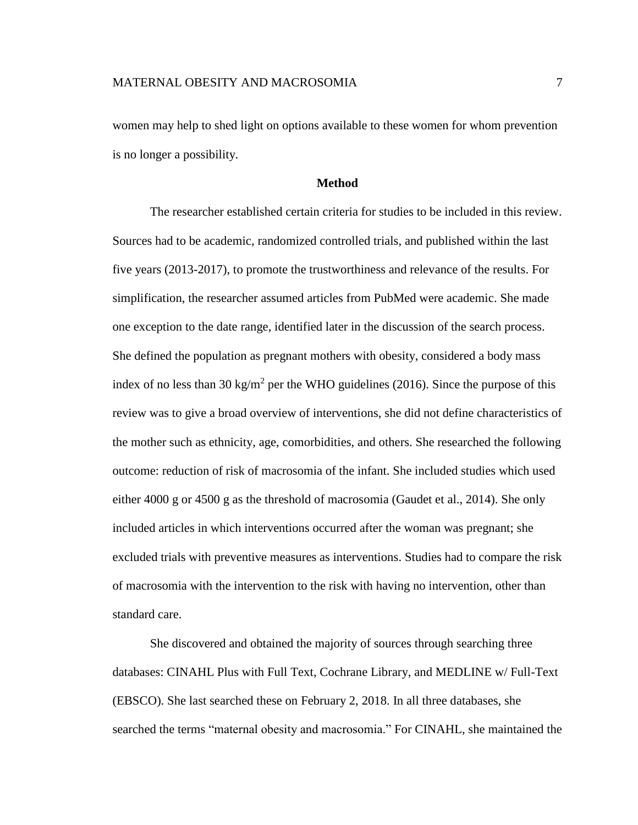women may help to shed light on options available to these women for whom prevention is no longer a possibility.

## **Method**

The researcher established certain criteria for studies to be included in this review. Sources had to be academic, randomized controlled trials, and published within the last five years (2013-2017), to promote the trustworthiness and relevance of the results. For simplification, the researcher assumed articles from PubMed were academic. She made one exception to the date range, identified later in the discussion of the search process. She defined the population as pregnant mothers with obesity, considered a body mass index of no less than 30 kg/m<sup>2</sup> per the WHO guidelines (2016). Since the purpose of this review was to give a broad overview of interventions, she did not define characteristics of the mother such as ethnicity, age, comorbidities, and others. She researched the following outcome: reduction of risk of macrosomia of the infant. She included studies which used either 4000 g or 4500 g as the threshold of macrosomia (Gaudet et al., 2014). She only included articles in which interventions occurred after the woman was pregnant; she excluded trials with preventive measures as interventions. Studies had to compare the risk of macrosomia with the intervention to the risk with having no intervention, other than standard care.

She discovered and obtained the majority of sources through searching three databases: CINAHL Plus with Full Text, Cochrane Library, and MEDLINE w/ Full-Text (EBSCO). She last searched these on February 2, 2018. In all three databases, she searched the terms "maternal obesity and macrosomia." For CINAHL, she maintained the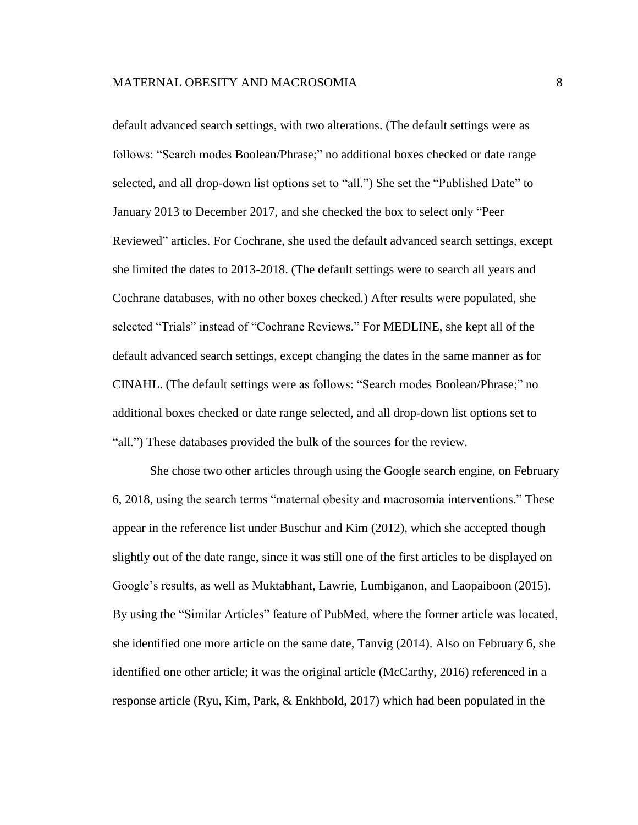default advanced search settings, with two alterations. (The default settings were as follows: "Search modes Boolean/Phrase;" no additional boxes checked or date range selected, and all drop-down list options set to "all.") She set the "Published Date" to January 2013 to December 2017, and she checked the box to select only "Peer Reviewed" articles. For Cochrane, she used the default advanced search settings, except she limited the dates to 2013-2018. (The default settings were to search all years and Cochrane databases, with no other boxes checked.) After results were populated, she selected "Trials" instead of "Cochrane Reviews." For MEDLINE, she kept all of the default advanced search settings, except changing the dates in the same manner as for CINAHL. (The default settings were as follows: "Search modes Boolean/Phrase;" no additional boxes checked or date range selected, and all drop-down list options set to "all.") These databases provided the bulk of the sources for the review.

She chose two other articles through using the Google search engine, on February 6, 2018, using the search terms "maternal obesity and macrosomia interventions." These appear in the reference list under Buschur and Kim (2012), which she accepted though slightly out of the date range, since it was still one of the first articles to be displayed on Google's results, as well as Muktabhant, Lawrie, Lumbiganon, and Laopaiboon (2015). By using the "Similar Articles" feature of PubMed, where the former article was located, she identified one more article on the same date, Tanvig (2014). Also on February 6, she identified one other article; it was the original article (McCarthy, 2016) referenced in a response article (Ryu, Kim, Park, & Enkhbold, 2017) which had been populated in the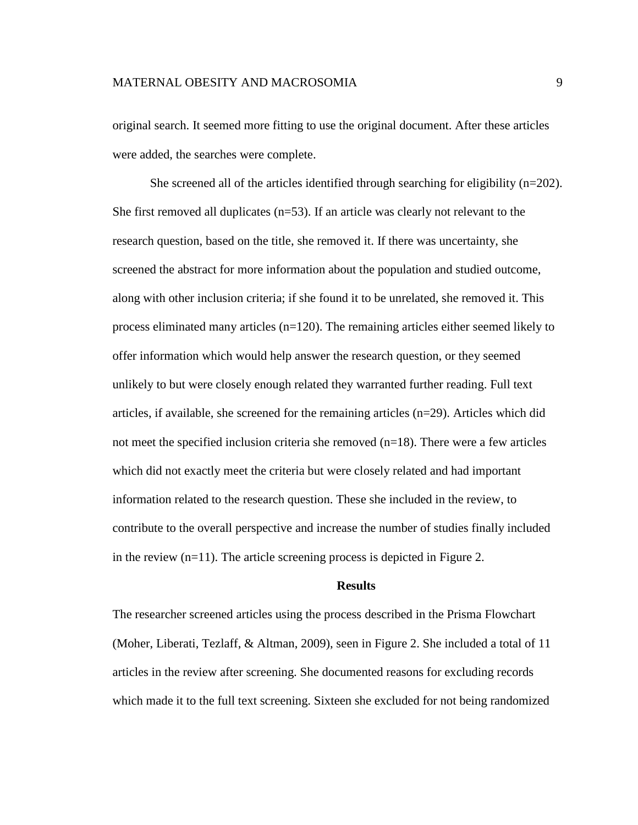original search. It seemed more fitting to use the original document. After these articles were added, the searches were complete.

She screened all of the articles identified through searching for eligibility  $(n=202)$ . She first removed all duplicates  $(n=53)$ . If an article was clearly not relevant to the research question, based on the title, she removed it. If there was uncertainty, she screened the abstract for more information about the population and studied outcome, along with other inclusion criteria; if she found it to be unrelated, she removed it. This process eliminated many articles (n=120). The remaining articles either seemed likely to offer information which would help answer the research question, or they seemed unlikely to but were closely enough related they warranted further reading. Full text articles, if available, she screened for the remaining articles (n=29). Articles which did not meet the specified inclusion criteria she removed  $(n=18)$ . There were a few articles which did not exactly meet the criteria but were closely related and had important information related to the research question. These she included in the review, to contribute to the overall perspective and increase the number of studies finally included in the review (n=11). The article screening process is depicted in Figure 2.

### **Results**

The researcher screened articles using the process described in the Prisma Flowchart (Moher, Liberati, Tezlaff, & Altman, 2009), seen in Figure 2. She included a total of 11 articles in the review after screening. She documented reasons for excluding records which made it to the full text screening. Sixteen she excluded for not being randomized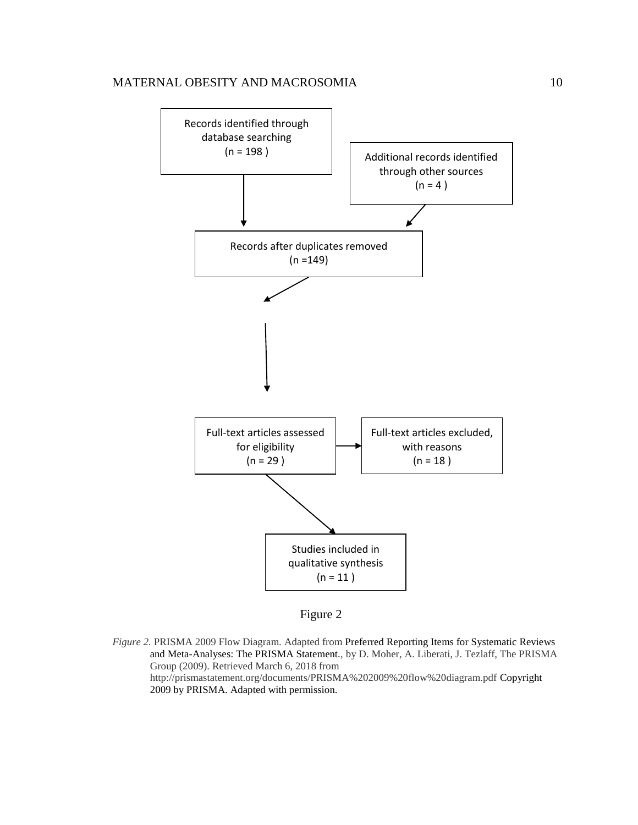

Figure 2

*Figure 2.* PRISMA 2009 Flow Diagram. Adapted from Preferred Reporting Items for Systematic Reviews and Meta-Analyses: The PRISMA Statement., by D. Moher, A. Liberati, J. Tezlaff, The PRISMA Group (2009). Retrieved March 6, 2018 from http://prismastatement.org/documents/PRISMA%202009%20flow%20diagram.pdf Copyright 2009 by PRISMA. Adapted with permission.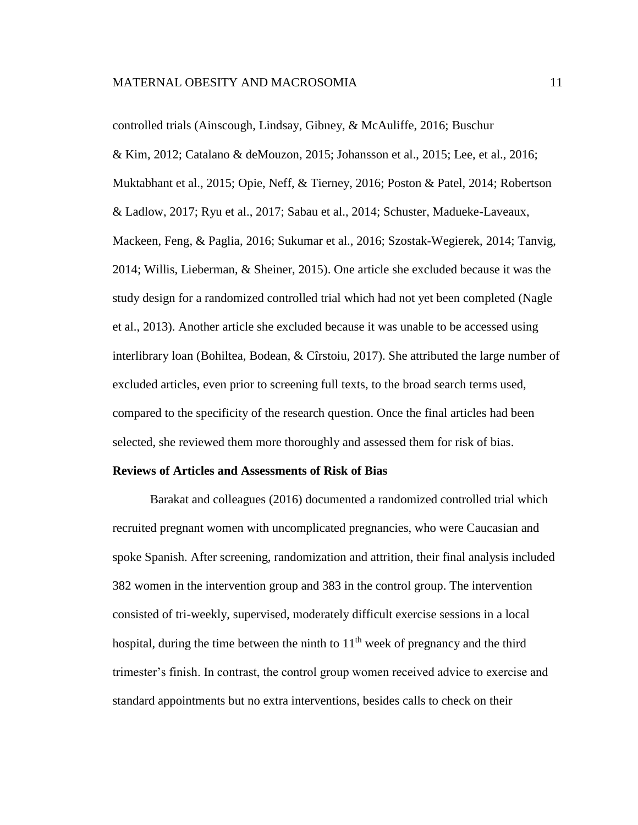controlled trials (Ainscough, Lindsay, Gibney, & McAuliffe, 2016; Buschur & Kim, 2012; Catalano & deMouzon, 2015; Johansson et al., 2015; Lee, et al., 2016; Muktabhant et al., 2015; Opie, Neff, & Tierney, 2016; Poston & Patel, 2014; Robertson & Ladlow, 2017; Ryu et al., 2017; Sabau et al., 2014; Schuster, Madueke-Laveaux, Mackeen, Feng, & Paglia, 2016; Sukumar et al., 2016; Szostak-Wegierek, 2014; Tanvig, 2014; Willis, Lieberman, & Sheiner, 2015). One article she excluded because it was the study design for a randomized controlled trial which had not yet been completed (Nagle et al., 2013). Another article she excluded because it was unable to be accessed using interlibrary loan (Bohiltea, Bodean, & Cîrstoiu, 2017). She attributed the large number of excluded articles, even prior to screening full texts, to the broad search terms used, compared to the specificity of the research question. Once the final articles had been selected, she reviewed them more thoroughly and assessed them for risk of bias.

## **Reviews of Articles and Assessments of Risk of Bias**

Barakat and colleagues (2016) documented a randomized controlled trial which recruited pregnant women with uncomplicated pregnancies, who were Caucasian and spoke Spanish. After screening, randomization and attrition, their final analysis included 382 women in the intervention group and 383 in the control group. The intervention consisted of tri-weekly, supervised, moderately difficult exercise sessions in a local hospital, during the time between the ninth to  $11<sup>th</sup>$  week of pregnancy and the third trimester's finish. In contrast, the control group women received advice to exercise and standard appointments but no extra interventions, besides calls to check on their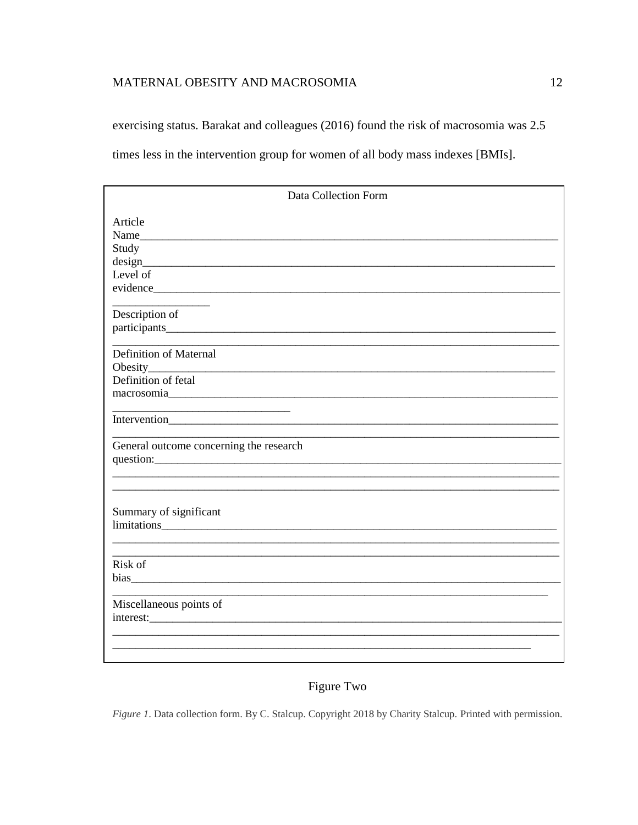exercising status. Barakat and colleagues (2016) found the risk of macrosomia was 2.5

times less in the intervention group for women of all body mass indexes [BMIs].

| Data Collection Form                                                                                         |  |  |  |  |
|--------------------------------------------------------------------------------------------------------------|--|--|--|--|
| Article                                                                                                      |  |  |  |  |
|                                                                                                              |  |  |  |  |
| Study                                                                                                        |  |  |  |  |
| $\mathsf{design}\_\_\_\_\_\_\_\_$                                                                            |  |  |  |  |
| Level of                                                                                                     |  |  |  |  |
| evidence en anonce a contra la contra de la contra de la contra de la contra de la contra de la contra de la |  |  |  |  |
| Description of                                                                                               |  |  |  |  |
|                                                                                                              |  |  |  |  |
|                                                                                                              |  |  |  |  |
| Definition of Maternal                                                                                       |  |  |  |  |
| Obesity_                                                                                                     |  |  |  |  |
| Definition of fetal                                                                                          |  |  |  |  |
|                                                                                                              |  |  |  |  |
|                                                                                                              |  |  |  |  |
| General outcome concerning the research                                                                      |  |  |  |  |
| question:                                                                                                    |  |  |  |  |
|                                                                                                              |  |  |  |  |
|                                                                                                              |  |  |  |  |
|                                                                                                              |  |  |  |  |
| Summary of significant                                                                                       |  |  |  |  |
|                                                                                                              |  |  |  |  |
|                                                                                                              |  |  |  |  |
| Risk of                                                                                                      |  |  |  |  |
|                                                                                                              |  |  |  |  |
|                                                                                                              |  |  |  |  |
| Miscellaneous points of                                                                                      |  |  |  |  |
| interest:                                                                                                    |  |  |  |  |
|                                                                                                              |  |  |  |  |
|                                                                                                              |  |  |  |  |
|                                                                                                              |  |  |  |  |

## Figure Two

Figure 1. Data collection form. By C. Stalcup. Copyright 2018 by Charity Stalcup. Printed with permission.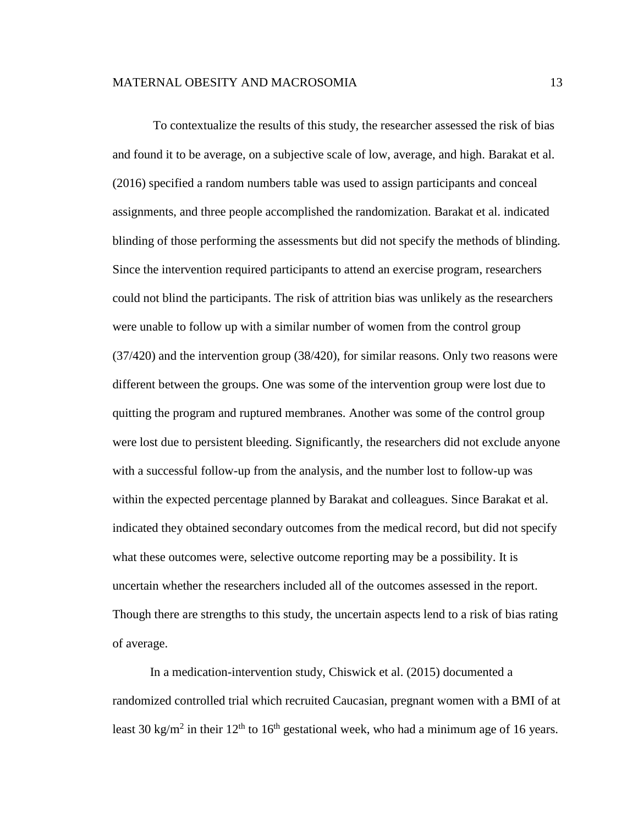To contextualize the results of this study, the researcher assessed the risk of bias and found it to be average, on a subjective scale of low, average, and high. Barakat et al. (2016) specified a random numbers table was used to assign participants and conceal assignments, and three people accomplished the randomization. Barakat et al. indicated blinding of those performing the assessments but did not specify the methods of blinding. Since the intervention required participants to attend an exercise program, researchers could not blind the participants. The risk of attrition bias was unlikely as the researchers were unable to follow up with a similar number of women from the control group (37/420) and the intervention group (38/420), for similar reasons. Only two reasons were different between the groups. One was some of the intervention group were lost due to quitting the program and ruptured membranes. Another was some of the control group were lost due to persistent bleeding. Significantly, the researchers did not exclude anyone with a successful follow-up from the analysis, and the number lost to follow-up was within the expected percentage planned by Barakat and colleagues. Since Barakat et al. indicated they obtained secondary outcomes from the medical record, but did not specify what these outcomes were, selective outcome reporting may be a possibility. It is uncertain whether the researchers included all of the outcomes assessed in the report. Though there are strengths to this study, the uncertain aspects lend to a risk of bias rating of average.

In a medication-intervention study, Chiswick et al. (2015) documented a randomized controlled trial which recruited Caucasian, pregnant women with a BMI of at least 30 kg/m<sup>2</sup> in their 12<sup>th</sup> to 16<sup>th</sup> gestational week, who had a minimum age of 16 years.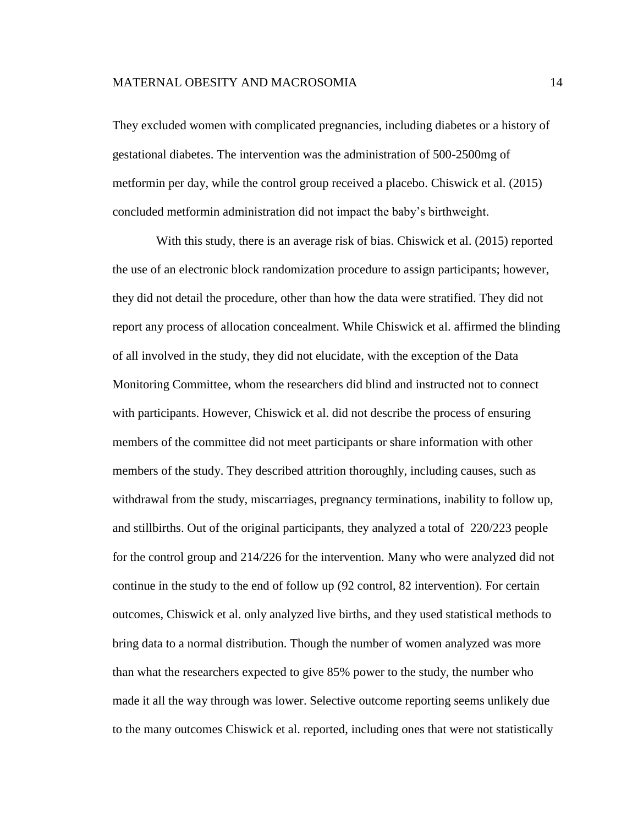They excluded women with complicated pregnancies, including diabetes or a history of gestational diabetes. The intervention was the administration of 500-2500mg of metformin per day, while the control group received a placebo. Chiswick et al. (2015) concluded metformin administration did not impact the baby's birthweight.

With this study, there is an average risk of bias. Chiswick et al. (2015) reported the use of an electronic block randomization procedure to assign participants; however, they did not detail the procedure, other than how the data were stratified. They did not report any process of allocation concealment. While Chiswick et al. affirmed the blinding of all involved in the study, they did not elucidate, with the exception of the Data Monitoring Committee, whom the researchers did blind and instructed not to connect with participants. However, Chiswick et al. did not describe the process of ensuring members of the committee did not meet participants or share information with other members of the study. They described attrition thoroughly, including causes, such as withdrawal from the study, miscarriages, pregnancy terminations, inability to follow up, and stillbirths. Out of the original participants, they analyzed a total of 220/223 people for the control group and 214/226 for the intervention. Many who were analyzed did not continue in the study to the end of follow up (92 control, 82 intervention). For certain outcomes, Chiswick et al. only analyzed live births, and they used statistical methods to bring data to a normal distribution. Though the number of women analyzed was more than what the researchers expected to give 85% power to the study, the number who made it all the way through was lower. Selective outcome reporting seems unlikely due to the many outcomes Chiswick et al. reported, including ones that were not statistically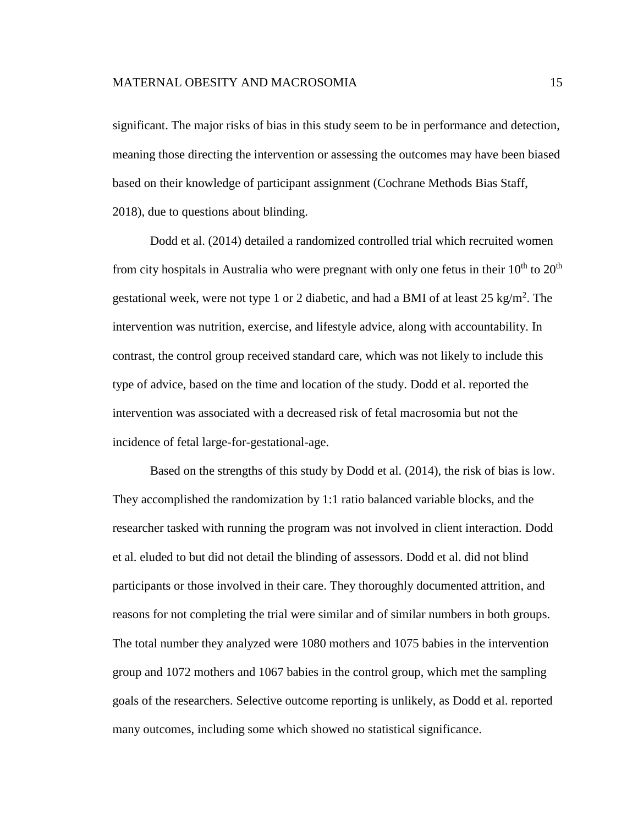significant. The major risks of bias in this study seem to be in performance and detection, meaning those directing the intervention or assessing the outcomes may have been biased based on their knowledge of participant assignment (Cochrane Methods Bias Staff, 2018), due to questions about blinding.

Dodd et al. (2014) detailed a randomized controlled trial which recruited women from city hospitals in Australia who were pregnant with only one fetus in their  $10<sup>th</sup>$  to  $20<sup>th</sup>$ gestational week, were not type 1 or 2 diabetic, and had a BMI of at least  $25 \text{ kg/m}^2$ . The intervention was nutrition, exercise, and lifestyle advice, along with accountability. In contrast, the control group received standard care, which was not likely to include this type of advice, based on the time and location of the study. Dodd et al. reported the intervention was associated with a decreased risk of fetal macrosomia but not the incidence of fetal large-for-gestational-age.

Based on the strengths of this study by Dodd et al. (2014), the risk of bias is low. They accomplished the randomization by 1:1 ratio balanced variable blocks, and the researcher tasked with running the program was not involved in client interaction. Dodd et al. eluded to but did not detail the blinding of assessors. Dodd et al. did not blind participants or those involved in their care. They thoroughly documented attrition, and reasons for not completing the trial were similar and of similar numbers in both groups. The total number they analyzed were 1080 mothers and 1075 babies in the intervention group and 1072 mothers and 1067 babies in the control group, which met the sampling goals of the researchers. Selective outcome reporting is unlikely, as Dodd et al. reported many outcomes, including some which showed no statistical significance.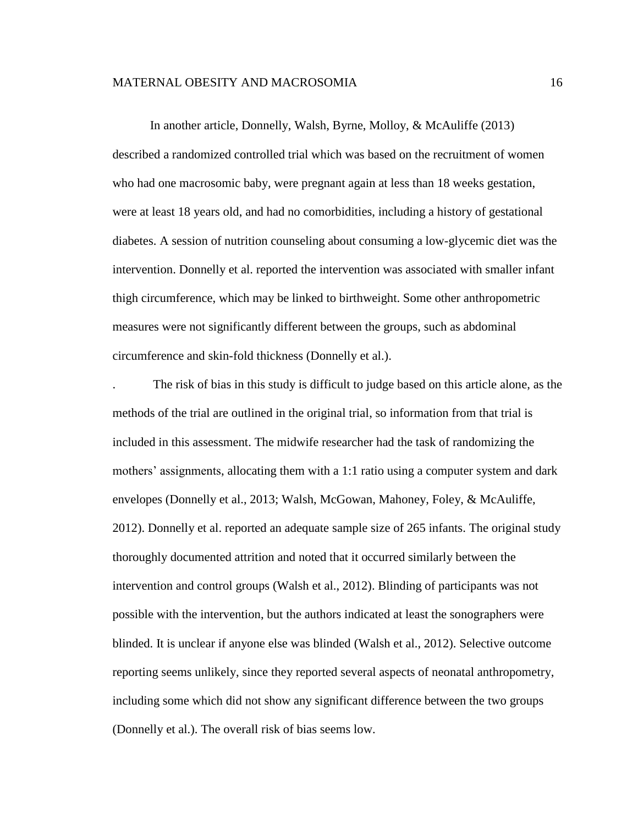In another article, Donnelly, Walsh, Byrne, Molloy, & McAuliffe (2013) described a randomized controlled trial which was based on the recruitment of women who had one macrosomic baby, were pregnant again at less than 18 weeks gestation, were at least 18 years old, and had no comorbidities, including a history of gestational diabetes. A session of nutrition counseling about consuming a low-glycemic diet was the intervention. Donnelly et al. reported the intervention was associated with smaller infant thigh circumference, which may be linked to birthweight. Some other anthropometric measures were not significantly different between the groups, such as abdominal circumference and skin-fold thickness (Donnelly et al.).

. The risk of bias in this study is difficult to judge based on this article alone, as the methods of the trial are outlined in the original trial, so information from that trial is included in this assessment. The midwife researcher had the task of randomizing the mothers' assignments, allocating them with a 1:1 ratio using a computer system and dark envelopes (Donnelly et al., 2013; Walsh, McGowan, Mahoney, Foley, & McAuliffe, 2012). Donnelly et al. reported an adequate sample size of 265 infants. The original study thoroughly documented attrition and noted that it occurred similarly between the intervention and control groups (Walsh et al., 2012). Blinding of participants was not possible with the intervention, but the authors indicated at least the sonographers were blinded. It is unclear if anyone else was blinded (Walsh et al., 2012). Selective outcome reporting seems unlikely, since they reported several aspects of neonatal anthropometry, including some which did not show any significant difference between the two groups (Donnelly et al.). The overall risk of bias seems low.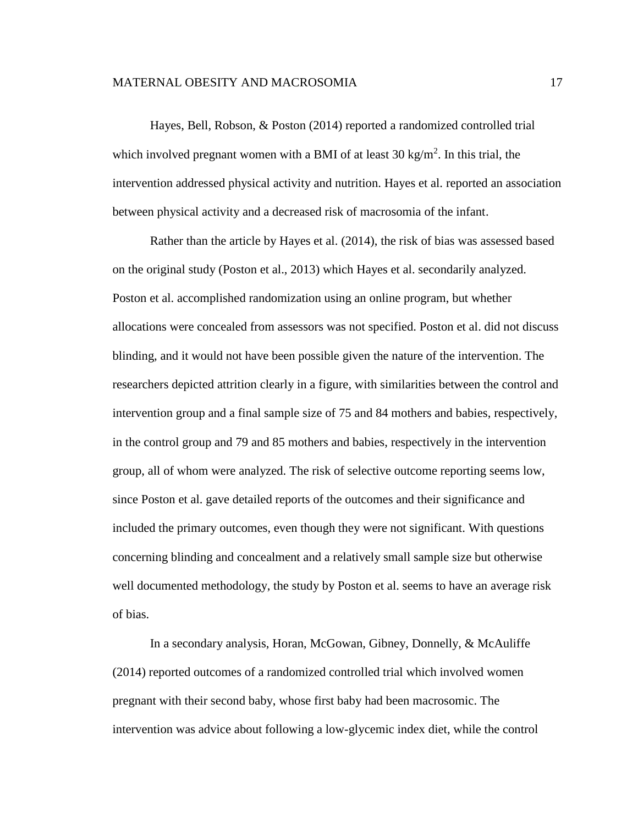Hayes, Bell, Robson, & Poston (2014) reported a randomized controlled trial which involved pregnant women with a BMI of at least  $30 \text{ kg/m}^2$ . In this trial, the intervention addressed physical activity and nutrition. Hayes et al. reported an association between physical activity and a decreased risk of macrosomia of the infant.

Rather than the article by Hayes et al. (2014), the risk of bias was assessed based on the original study (Poston et al., 2013) which Hayes et al. secondarily analyzed. Poston et al. accomplished randomization using an online program, but whether allocations were concealed from assessors was not specified. Poston et al. did not discuss blinding, and it would not have been possible given the nature of the intervention. The researchers depicted attrition clearly in a figure, with similarities between the control and intervention group and a final sample size of 75 and 84 mothers and babies, respectively, in the control group and 79 and 85 mothers and babies, respectively in the intervention group, all of whom were analyzed. The risk of selective outcome reporting seems low, since Poston et al. gave detailed reports of the outcomes and their significance and included the primary outcomes, even though they were not significant. With questions concerning blinding and concealment and a relatively small sample size but otherwise well documented methodology, the study by Poston et al. seems to have an average risk of bias.

In a secondary analysis, Horan, McGowan, Gibney, Donnelly, & McAuliffe (2014) reported outcomes of a randomized controlled trial which involved women pregnant with their second baby, whose first baby had been macrosomic. The intervention was advice about following a low-glycemic index diet, while the control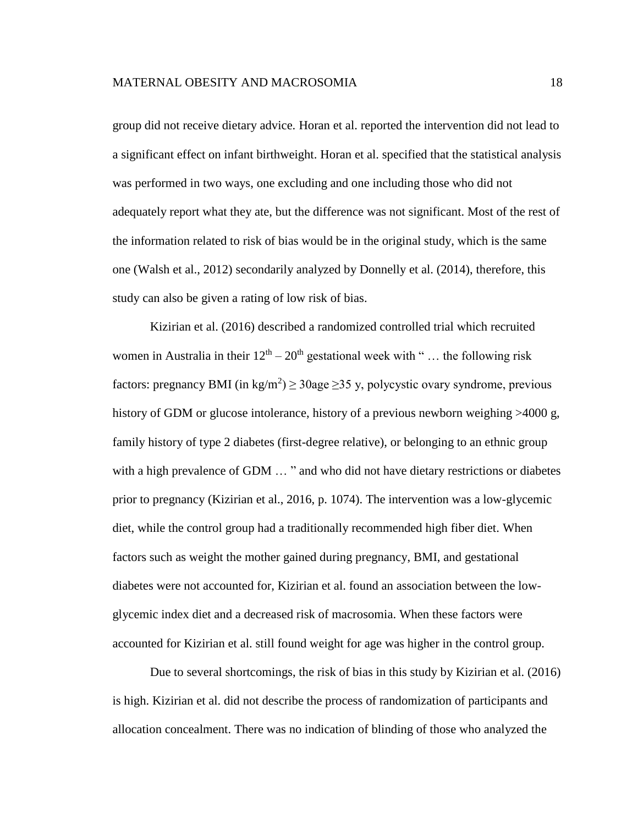group did not receive dietary advice. Horan et al. reported the intervention did not lead to a significant effect on infant birthweight. Horan et al. specified that the statistical analysis was performed in two ways, one excluding and one including those who did not adequately report what they ate, but the difference was not significant. Most of the rest of the information related to risk of bias would be in the original study, which is the same one (Walsh et al., 2012) secondarily analyzed by Donnelly et al. (2014), therefore, this study can also be given a rating of low risk of bias.

Kizirian et al. (2016) described a randomized controlled trial which recruited women in Australia in their  $12<sup>th</sup> - 20<sup>th</sup>$  gestational week with "... the following risk factors: pregnancy BMI (in kg/m<sup>2</sup>)  $\geq$  30age  $\geq$ 35 y, polycystic ovary syndrome, previous history of GDM or glucose intolerance, history of a previous newborn weighing >4000 g, family history of type 2 diabetes (first-degree relative), or belonging to an ethnic group with a high prevalence of GDM  $\ldots$  " and who did not have dietary restrictions or diabetes prior to pregnancy (Kizirian et al., 2016, p. 1074). The intervention was a low-glycemic diet, while the control group had a traditionally recommended high fiber diet. When factors such as weight the mother gained during pregnancy, BMI, and gestational diabetes were not accounted for, Kizirian et al. found an association between the lowglycemic index diet and a decreased risk of macrosomia. When these factors were accounted for Kizirian et al. still found weight for age was higher in the control group.

Due to several shortcomings, the risk of bias in this study by Kizirian et al. (2016) is high. Kizirian et al. did not describe the process of randomization of participants and allocation concealment. There was no indication of blinding of those who analyzed the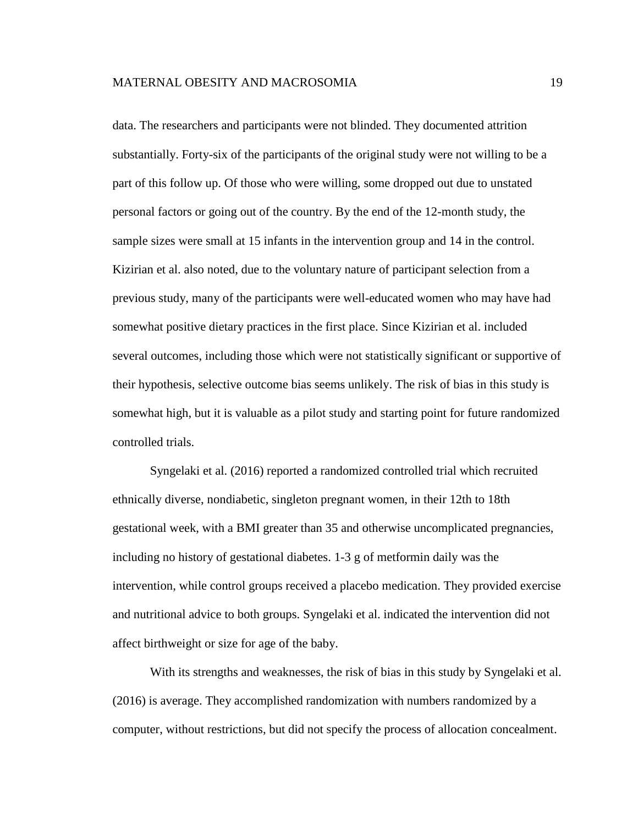data. The researchers and participants were not blinded. They documented attrition substantially. Forty-six of the participants of the original study were not willing to be a part of this follow up. Of those who were willing, some dropped out due to unstated personal factors or going out of the country. By the end of the 12-month study, the sample sizes were small at 15 infants in the intervention group and 14 in the control. Kizirian et al. also noted, due to the voluntary nature of participant selection from a previous study, many of the participants were well-educated women who may have had somewhat positive dietary practices in the first place. Since Kizirian et al. included several outcomes, including those which were not statistically significant or supportive of their hypothesis, selective outcome bias seems unlikely. The risk of bias in this study is somewhat high, but it is valuable as a pilot study and starting point for future randomized controlled trials.

Syngelaki et al. (2016) reported a randomized controlled trial which recruited ethnically diverse, nondiabetic, singleton pregnant women, in their 12th to 18th gestational week, with a BMI greater than 35 and otherwise uncomplicated pregnancies, including no history of gestational diabetes. 1-3 g of metformin daily was the intervention, while control groups received a placebo medication. They provided exercise and nutritional advice to both groups. Syngelaki et al. indicated the intervention did not affect birthweight or size for age of the baby.

With its strengths and weaknesses, the risk of bias in this study by Syngelaki et al. (2016) is average. They accomplished randomization with numbers randomized by a computer, without restrictions, but did not specify the process of allocation concealment.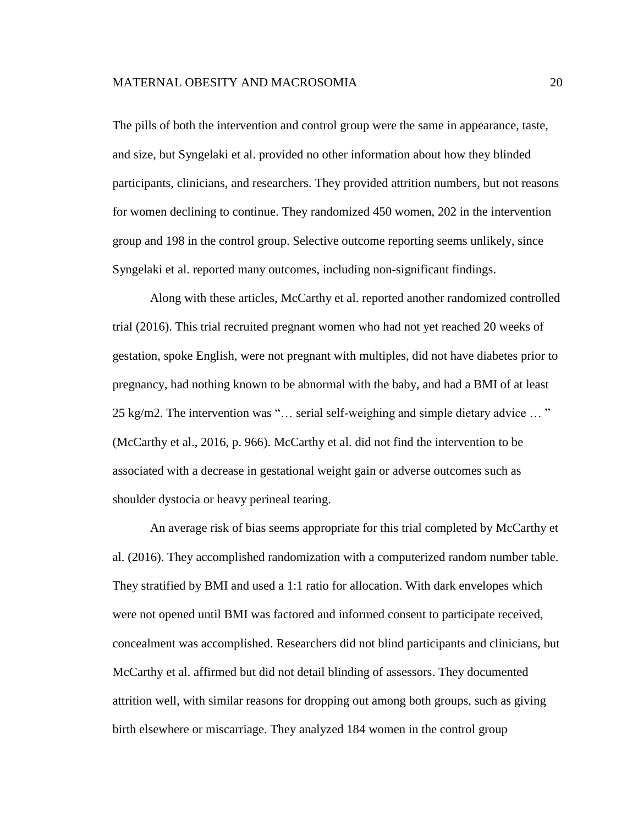The pills of both the intervention and control group were the same in appearance, taste, and size, but Syngelaki et al. provided no other information about how they blinded participants, clinicians, and researchers. They provided attrition numbers, but not reasons for women declining to continue. They randomized 450 women, 202 in the intervention group and 198 in the control group. Selective outcome reporting seems unlikely, since Syngelaki et al. reported many outcomes, including non-significant findings.

Along with these articles, McCarthy et al. reported another randomized controlled trial (2016). This trial recruited pregnant women who had not yet reached 20 weeks of gestation, spoke English, were not pregnant with multiples, did not have diabetes prior to pregnancy, had nothing known to be abnormal with the baby, and had a BMI of at least 25 kg/m2. The intervention was "… serial self-weighing and simple dietary advice … " (McCarthy et al., 2016, p. 966). McCarthy et al. did not find the intervention to be associated with a decrease in gestational weight gain or adverse outcomes such as shoulder dystocia or heavy perineal tearing.

An average risk of bias seems appropriate for this trial completed by McCarthy et al. (2016). They accomplished randomization with a computerized random number table. They stratified by BMI and used a 1:1 ratio for allocation. With dark envelopes which were not opened until BMI was factored and informed consent to participate received, concealment was accomplished. Researchers did not blind participants and clinicians, but McCarthy et al. affirmed but did not detail blinding of assessors. They documented attrition well, with similar reasons for dropping out among both groups, such as giving birth elsewhere or miscarriage. They analyzed 184 women in the control group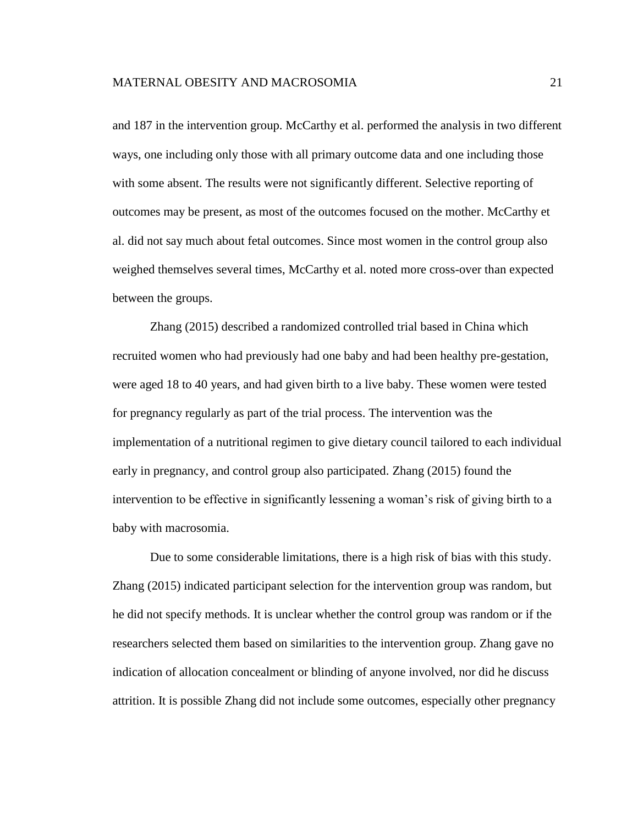and 187 in the intervention group. McCarthy et al. performed the analysis in two different ways, one including only those with all primary outcome data and one including those with some absent. The results were not significantly different. Selective reporting of outcomes may be present, as most of the outcomes focused on the mother. McCarthy et al. did not say much about fetal outcomes. Since most women in the control group also weighed themselves several times, McCarthy et al. noted more cross-over than expected between the groups.

Zhang (2015) described a randomized controlled trial based in China which recruited women who had previously had one baby and had been healthy pre-gestation, were aged 18 to 40 years, and had given birth to a live baby. These women were tested for pregnancy regularly as part of the trial process. The intervention was the implementation of a nutritional regimen to give dietary council tailored to each individual early in pregnancy, and control group also participated. Zhang (2015) found the intervention to be effective in significantly lessening a woman's risk of giving birth to a baby with macrosomia.

Due to some considerable limitations, there is a high risk of bias with this study. Zhang (2015) indicated participant selection for the intervention group was random, but he did not specify methods. It is unclear whether the control group was random or if the researchers selected them based on similarities to the intervention group. Zhang gave no indication of allocation concealment or blinding of anyone involved, nor did he discuss attrition. It is possible Zhang did not include some outcomes, especially other pregnancy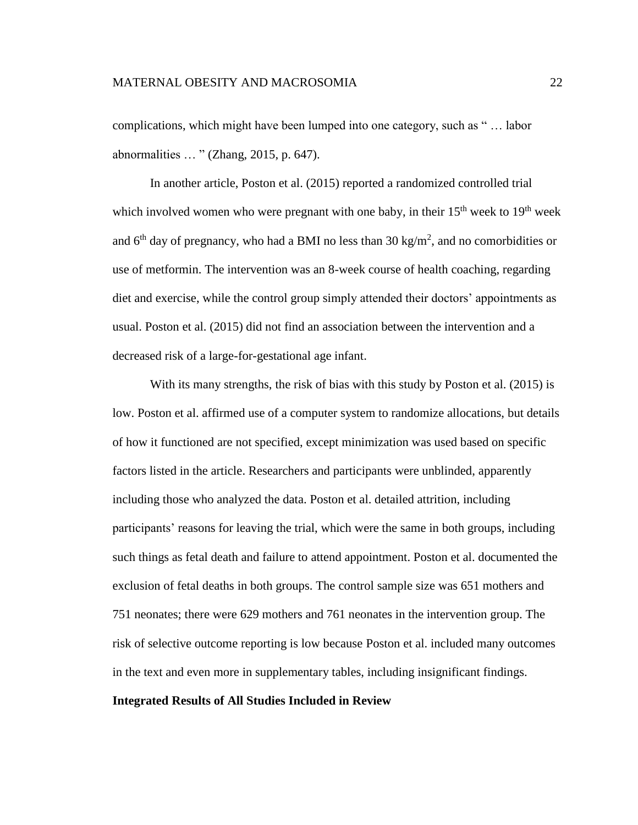complications, which might have been lumped into one category, such as " … labor abnormalities … " (Zhang, 2015, p. 647).

In another article, Poston et al. (2015) reported a randomized controlled trial which involved women who were pregnant with one baby, in their  $15<sup>th</sup>$  week to  $19<sup>th</sup>$  week and 6<sup>th</sup> day of pregnancy, who had a BMI no less than 30 kg/m<sup>2</sup>, and no comorbidities or use of metformin. The intervention was an 8-week course of health coaching, regarding diet and exercise, while the control group simply attended their doctors' appointments as usual. Poston et al. (2015) did not find an association between the intervention and a decreased risk of a large-for-gestational age infant.

With its many strengths, the risk of bias with this study by Poston et al. (2015) is low. Poston et al. affirmed use of a computer system to randomize allocations, but details of how it functioned are not specified, except minimization was used based on specific factors listed in the article. Researchers and participants were unblinded, apparently including those who analyzed the data. Poston et al. detailed attrition, including participants' reasons for leaving the trial, which were the same in both groups, including such things as fetal death and failure to attend appointment. Poston et al. documented the exclusion of fetal deaths in both groups. The control sample size was 651 mothers and 751 neonates; there were 629 mothers and 761 neonates in the intervention group. The risk of selective outcome reporting is low because Poston et al. included many outcomes in the text and even more in supplementary tables, including insignificant findings.

### **Integrated Results of All Studies Included in Review**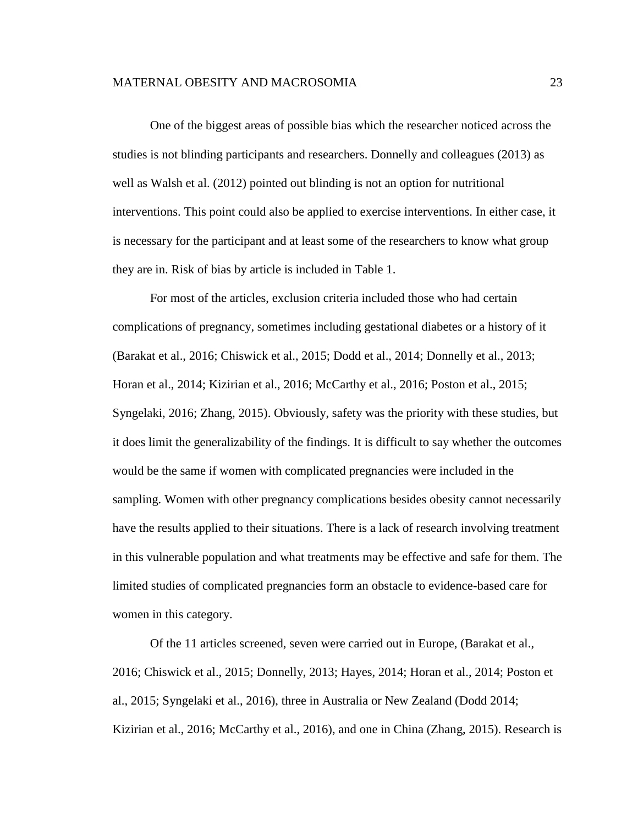One of the biggest areas of possible bias which the researcher noticed across the studies is not blinding participants and researchers. Donnelly and colleagues (2013) as well as Walsh et al. (2012) pointed out blinding is not an option for nutritional interventions. This point could also be applied to exercise interventions. In either case, it is necessary for the participant and at least some of the researchers to know what group they are in. Risk of bias by article is included in Table 1.

For most of the articles, exclusion criteria included those who had certain complications of pregnancy, sometimes including gestational diabetes or a history of it (Barakat et al., 2016; Chiswick et al., 2015; Dodd et al., 2014; Donnelly et al., 2013; Horan et al., 2014; Kizirian et al., 2016; McCarthy et al., 2016; Poston et al., 2015; Syngelaki, 2016; Zhang, 2015). Obviously, safety was the priority with these studies, but it does limit the generalizability of the findings. It is difficult to say whether the outcomes would be the same if women with complicated pregnancies were included in the sampling. Women with other pregnancy complications besides obesity cannot necessarily have the results applied to their situations. There is a lack of research involving treatment in this vulnerable population and what treatments may be effective and safe for them. The limited studies of complicated pregnancies form an obstacle to evidence-based care for women in this category.

Of the 11 articles screened, seven were carried out in Europe, (Barakat et al., 2016; Chiswick et al., 2015; Donnelly, 2013; Hayes, 2014; Horan et al., 2014; Poston et al., 2015; Syngelaki et al., 2016), three in Australia or New Zealand (Dodd 2014; Kizirian et al., 2016; McCarthy et al., 2016), and one in China (Zhang, 2015). Research is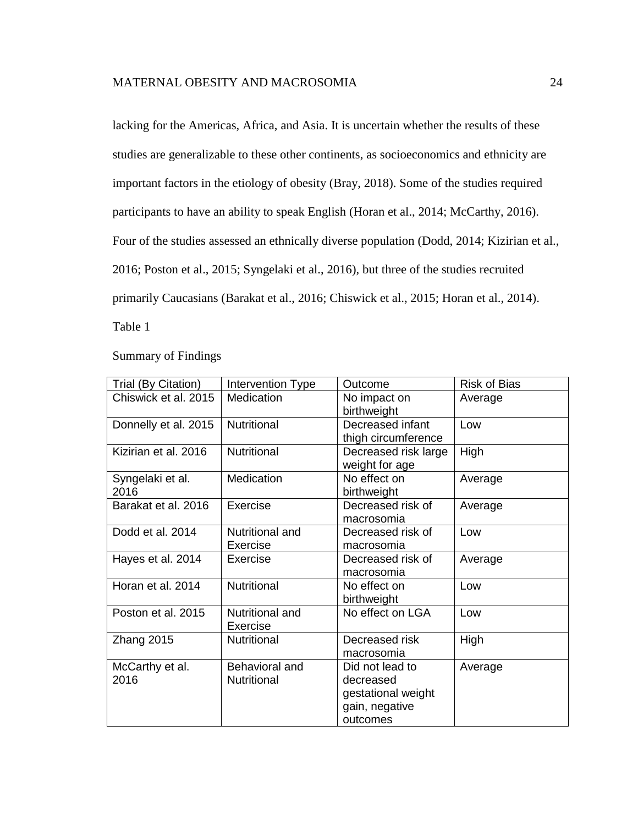lacking for the Americas, Africa, and Asia. It is uncertain whether the results of these studies are generalizable to these other continents, as socioeconomics and ethnicity are important factors in the etiology of obesity (Bray, 2018). Some of the studies required participants to have an ability to speak English (Horan et al., 2014; McCarthy, 2016). Four of the studies assessed an ethnically diverse population (Dodd, 2014; Kizirian et al., 2016; Poston et al., 2015; Syngelaki et al., 2016), but three of the studies recruited primarily Caucasians (Barakat et al., 2016; Chiswick et al., 2015; Horan et al., 2014). Table 1

Summary of Findings

| Trial (By Citation)  | Intervention Type  | Outcome              | <b>Risk of Bias</b> |
|----------------------|--------------------|----------------------|---------------------|
| Chiswick et al. 2015 | Medication         | No impact on         | Average             |
|                      |                    | birthweight          |                     |
| Donnelly et al. 2015 | <b>Nutritional</b> | Decreased infant     | Low                 |
|                      |                    | thigh circumference  |                     |
| Kizirian et al. 2016 | <b>Nutritional</b> | Decreased risk large | High                |
|                      |                    | weight for age       |                     |
| Syngelaki et al.     | <b>Medication</b>  | No effect on         | Average             |
| 2016                 |                    | birthweight          |                     |
| Barakat et al. 2016  | Exercise           | Decreased risk of    | Average             |
|                      |                    | macrosomia           |                     |
| Dodd et al. 2014     | Nutritional and    | Decreased risk of    | Low                 |
|                      | Exercise           | macrosomia           |                     |
| Hayes et al. 2014    | Exercise           | Decreased risk of    | Average             |
|                      |                    | macrosomia           |                     |
| Horan et al. 2014    | Nutritional        | No effect on         | Low                 |
|                      |                    | birthweight          |                     |
| Poston et al. 2015   | Nutritional and    | No effect on LGA     | Low                 |
|                      | Exercise           |                      |                     |
| Zhang 2015           | <b>Nutritional</b> | Decreased risk       | High                |
|                      |                    | macrosomia           |                     |
| McCarthy et al.      | Behavioral and     | Did not lead to      | Average             |
| 2016                 | <b>Nutritional</b> | decreased            |                     |
|                      |                    | gestational weight   |                     |
|                      |                    | gain, negative       |                     |
|                      |                    | outcomes             |                     |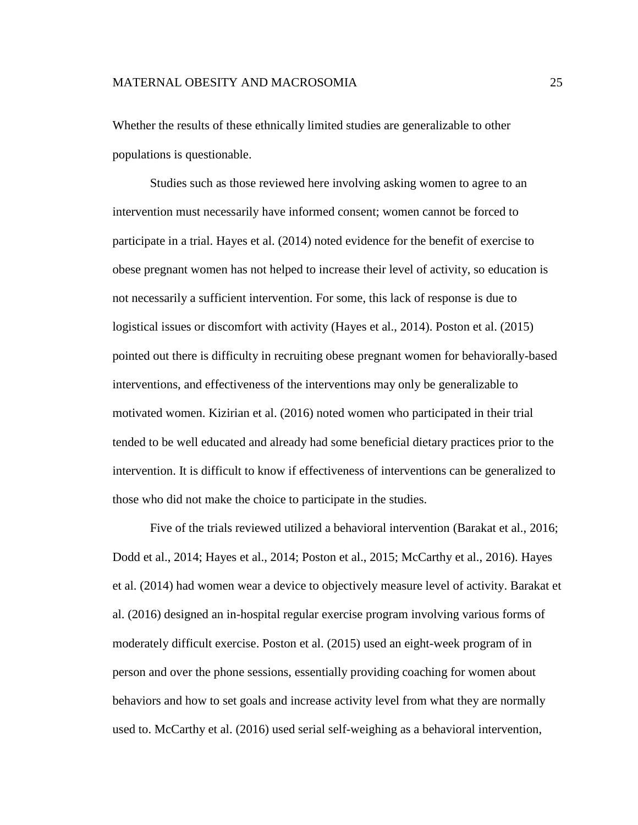Whether the results of these ethnically limited studies are generalizable to other populations is questionable.

Studies such as those reviewed here involving asking women to agree to an intervention must necessarily have informed consent; women cannot be forced to participate in a trial. Hayes et al. (2014) noted evidence for the benefit of exercise to obese pregnant women has not helped to increase their level of activity, so education is not necessarily a sufficient intervention. For some, this lack of response is due to logistical issues or discomfort with activity (Hayes et al., 2014). Poston et al. (2015) pointed out there is difficulty in recruiting obese pregnant women for behaviorally-based interventions, and effectiveness of the interventions may only be generalizable to motivated women. Kizirian et al. (2016) noted women who participated in their trial tended to be well educated and already had some beneficial dietary practices prior to the intervention. It is difficult to know if effectiveness of interventions can be generalized to those who did not make the choice to participate in the studies.

Five of the trials reviewed utilized a behavioral intervention (Barakat et al., 2016; Dodd et al., 2014; Hayes et al., 2014; Poston et al., 2015; McCarthy et al., 2016). Hayes et al. (2014) had women wear a device to objectively measure level of activity. Barakat et al. (2016) designed an in-hospital regular exercise program involving various forms of moderately difficult exercise. Poston et al. (2015) used an eight-week program of in person and over the phone sessions, essentially providing coaching for women about behaviors and how to set goals and increase activity level from what they are normally used to. McCarthy et al. (2016) used serial self-weighing as a behavioral intervention,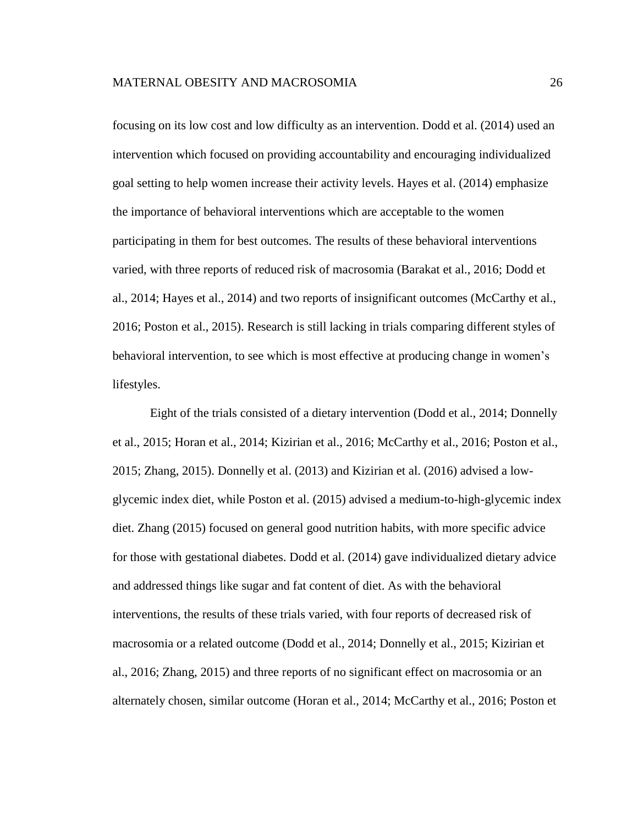focusing on its low cost and low difficulty as an intervention. Dodd et al. (2014) used an intervention which focused on providing accountability and encouraging individualized goal setting to help women increase their activity levels. Hayes et al. (2014) emphasize the importance of behavioral interventions which are acceptable to the women participating in them for best outcomes. The results of these behavioral interventions varied, with three reports of reduced risk of macrosomia (Barakat et al., 2016; Dodd et al., 2014; Hayes et al., 2014) and two reports of insignificant outcomes (McCarthy et al., 2016; Poston et al., 2015). Research is still lacking in trials comparing different styles of behavioral intervention, to see which is most effective at producing change in women's lifestyles.

Eight of the trials consisted of a dietary intervention (Dodd et al., 2014; Donnelly et al., 2015; Horan et al., 2014; Kizirian et al., 2016; McCarthy et al., 2016; Poston et al., 2015; Zhang, 2015). Donnelly et al. (2013) and Kizirian et al. (2016) advised a lowglycemic index diet, while Poston et al. (2015) advised a medium-to-high-glycemic index diet. Zhang (2015) focused on general good nutrition habits, with more specific advice for those with gestational diabetes. Dodd et al. (2014) gave individualized dietary advice and addressed things like sugar and fat content of diet. As with the behavioral interventions, the results of these trials varied, with four reports of decreased risk of macrosomia or a related outcome (Dodd et al., 2014; Donnelly et al., 2015; Kizirian et al., 2016; Zhang, 2015) and three reports of no significant effect on macrosomia or an alternately chosen, similar outcome (Horan et al., 2014; McCarthy et al., 2016; Poston et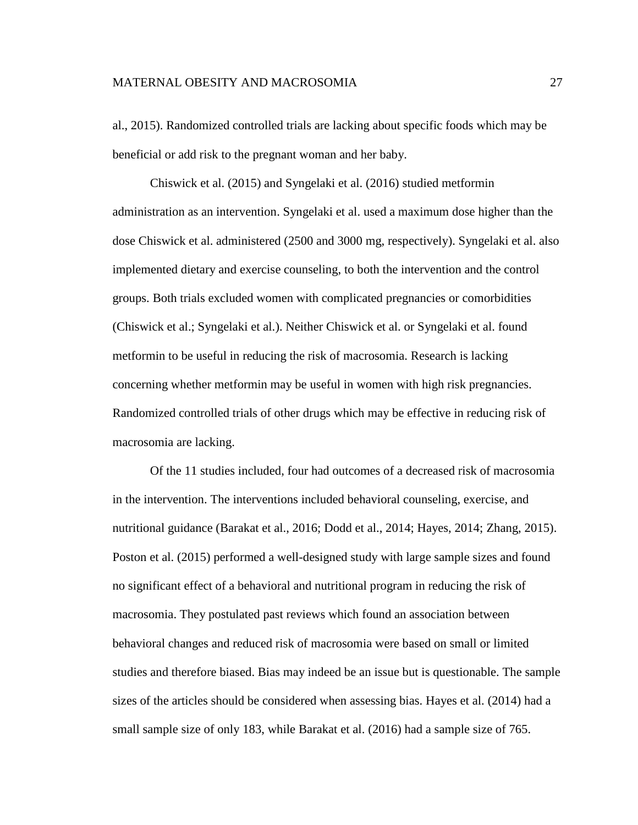al., 2015). Randomized controlled trials are lacking about specific foods which may be beneficial or add risk to the pregnant woman and her baby.

Chiswick et al. (2015) and Syngelaki et al. (2016) studied metformin administration as an intervention. Syngelaki et al. used a maximum dose higher than the dose Chiswick et al. administered (2500 and 3000 mg, respectively). Syngelaki et al. also implemented dietary and exercise counseling, to both the intervention and the control groups. Both trials excluded women with complicated pregnancies or comorbidities (Chiswick et al.; Syngelaki et al.). Neither Chiswick et al. or Syngelaki et al. found metformin to be useful in reducing the risk of macrosomia. Research is lacking concerning whether metformin may be useful in women with high risk pregnancies. Randomized controlled trials of other drugs which may be effective in reducing risk of macrosomia are lacking.

Of the 11 studies included, four had outcomes of a decreased risk of macrosomia in the intervention. The interventions included behavioral counseling, exercise, and nutritional guidance (Barakat et al., 2016; Dodd et al., 2014; Hayes, 2014; Zhang, 2015). Poston et al. (2015) performed a well-designed study with large sample sizes and found no significant effect of a behavioral and nutritional program in reducing the risk of macrosomia. They postulated past reviews which found an association between behavioral changes and reduced risk of macrosomia were based on small or limited studies and therefore biased. Bias may indeed be an issue but is questionable. The sample sizes of the articles should be considered when assessing bias. Hayes et al. (2014) had a small sample size of only 183, while Barakat et al. (2016) had a sample size of 765.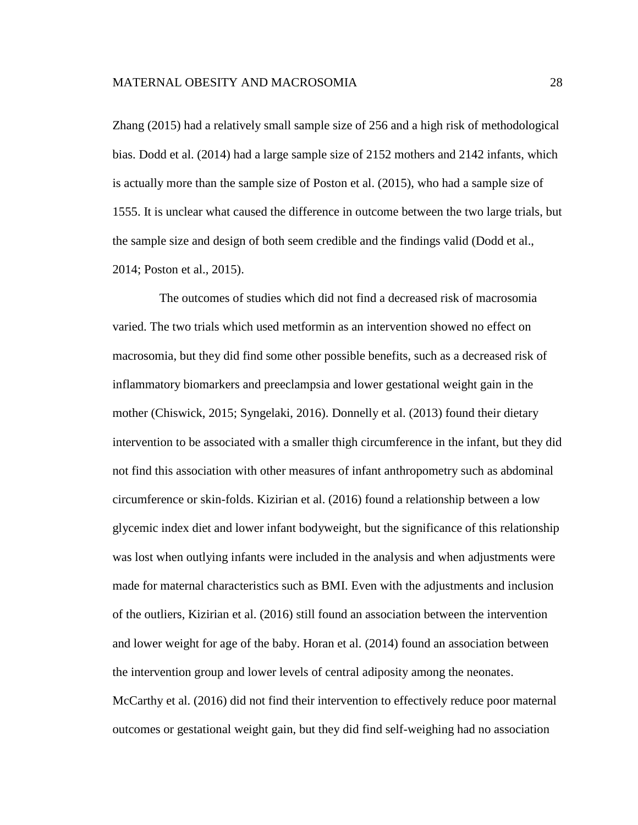Zhang (2015) had a relatively small sample size of 256 and a high risk of methodological bias. Dodd et al. (2014) had a large sample size of 2152 mothers and 2142 infants, which is actually more than the sample size of Poston et al. (2015), who had a sample size of 1555. It is unclear what caused the difference in outcome between the two large trials, but the sample size and design of both seem credible and the findings valid (Dodd et al., 2014; Poston et al., 2015).

 The outcomes of studies which did not find a decreased risk of macrosomia varied. The two trials which used metformin as an intervention showed no effect on macrosomia, but they did find some other possible benefits, such as a decreased risk of inflammatory biomarkers and preeclampsia and lower gestational weight gain in the mother (Chiswick, 2015; Syngelaki, 2016). Donnelly et al. (2013) found their dietary intervention to be associated with a smaller thigh circumference in the infant, but they did not find this association with other measures of infant anthropometry such as abdominal circumference or skin-folds. Kizirian et al. (2016) found a relationship between a low glycemic index diet and lower infant bodyweight, but the significance of this relationship was lost when outlying infants were included in the analysis and when adjustments were made for maternal characteristics such as BMI. Even with the adjustments and inclusion of the outliers, Kizirian et al. (2016) still found an association between the intervention and lower weight for age of the baby. Horan et al. (2014) found an association between the intervention group and lower levels of central adiposity among the neonates. McCarthy et al. (2016) did not find their intervention to effectively reduce poor maternal outcomes or gestational weight gain, but they did find self-weighing had no association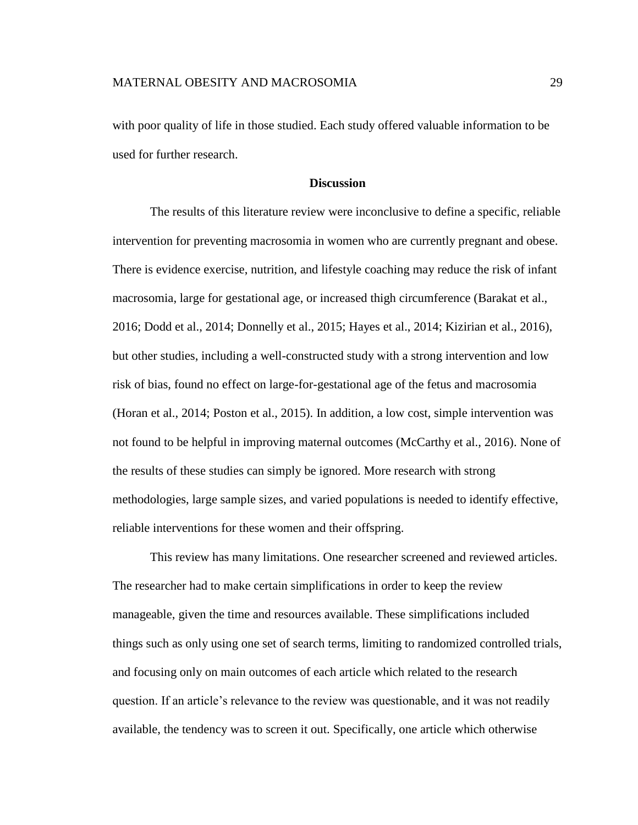with poor quality of life in those studied. Each study offered valuable information to be used for further research.

## **Discussion**

The results of this literature review were inconclusive to define a specific, reliable intervention for preventing macrosomia in women who are currently pregnant and obese. There is evidence exercise, nutrition, and lifestyle coaching may reduce the risk of infant macrosomia, large for gestational age, or increased thigh circumference (Barakat et al., 2016; Dodd et al., 2014; Donnelly et al., 2015; Hayes et al., 2014; Kizirian et al., 2016), but other studies, including a well-constructed study with a strong intervention and low risk of bias, found no effect on large-for-gestational age of the fetus and macrosomia (Horan et al., 2014; Poston et al., 2015). In addition, a low cost, simple intervention was not found to be helpful in improving maternal outcomes (McCarthy et al., 2016). None of the results of these studies can simply be ignored. More research with strong methodologies, large sample sizes, and varied populations is needed to identify effective, reliable interventions for these women and their offspring.

This review has many limitations. One researcher screened and reviewed articles. The researcher had to make certain simplifications in order to keep the review manageable, given the time and resources available. These simplifications included things such as only using one set of search terms, limiting to randomized controlled trials, and focusing only on main outcomes of each article which related to the research question. If an article's relevance to the review was questionable, and it was not readily available, the tendency was to screen it out. Specifically, one article which otherwise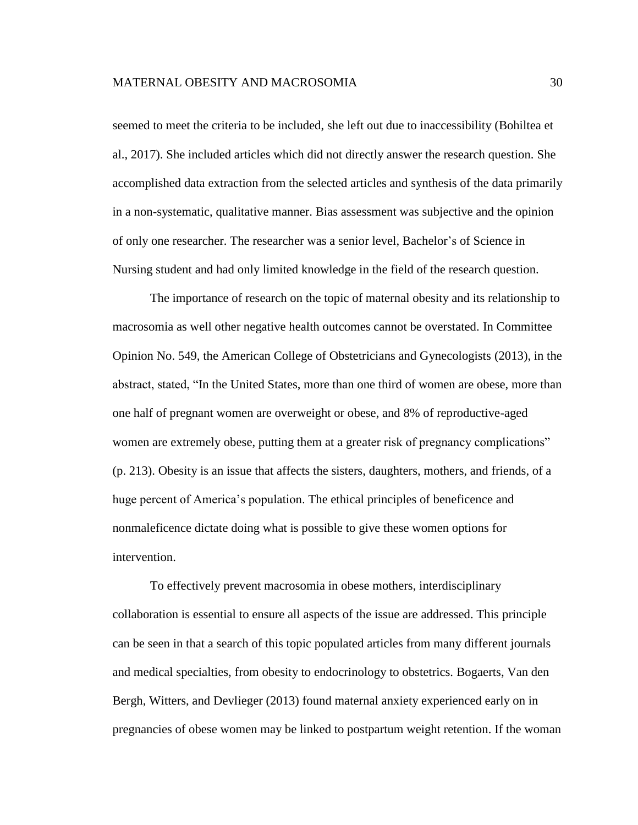seemed to meet the criteria to be included, she left out due to inaccessibility (Bohiltea et al., 2017). She included articles which did not directly answer the research question. She accomplished data extraction from the selected articles and synthesis of the data primarily in a non-systematic, qualitative manner. Bias assessment was subjective and the opinion of only one researcher. The researcher was a senior level, Bachelor's of Science in Nursing student and had only limited knowledge in the field of the research question.

The importance of research on the topic of maternal obesity and its relationship to macrosomia as well other negative health outcomes cannot be overstated. In Committee Opinion No. 549, the American College of Obstetricians and Gynecologists (2013), in the abstract, stated, "In the United States, more than one third of women are obese, more than one half of pregnant women are overweight or obese, and 8% of reproductive-aged women are extremely obese, putting them at a greater risk of pregnancy complications" (p. 213). Obesity is an issue that affects the sisters, daughters, mothers, and friends, of a huge percent of America's population. The ethical principles of beneficence and nonmaleficence dictate doing what is possible to give these women options for intervention.

To effectively prevent macrosomia in obese mothers, interdisciplinary collaboration is essential to ensure all aspects of the issue are addressed. This principle can be seen in that a search of this topic populated articles from many different journals and medical specialties, from obesity to endocrinology to obstetrics. Bogaerts, Van den Bergh, Witters, and Devlieger (2013) found maternal anxiety experienced early on in pregnancies of obese women may be linked to postpartum weight retention. If the woman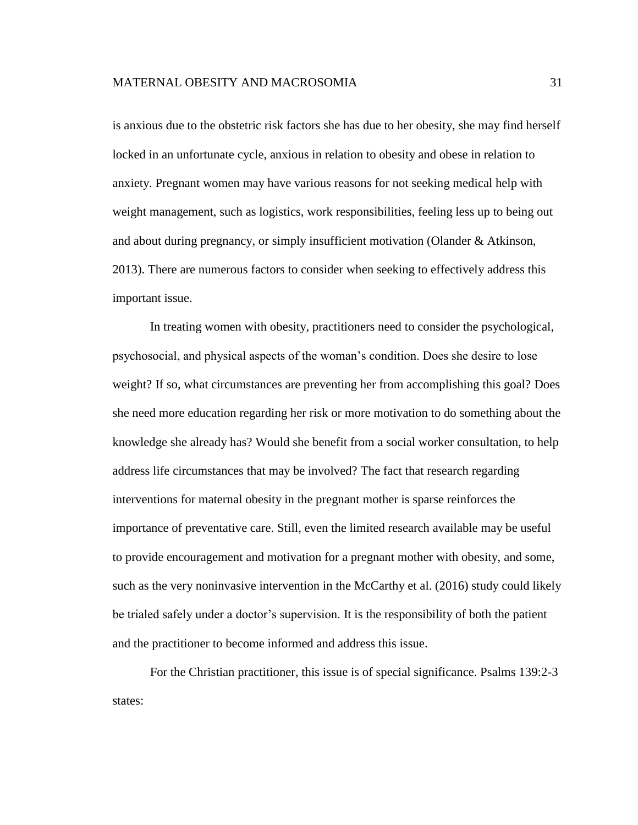is anxious due to the obstetric risk factors she has due to her obesity, she may find herself locked in an unfortunate cycle, anxious in relation to obesity and obese in relation to anxiety. Pregnant women may have various reasons for not seeking medical help with weight management, such as logistics, work responsibilities, feeling less up to being out and about during pregnancy, or simply insufficient motivation (Olander & Atkinson, 2013). There are numerous factors to consider when seeking to effectively address this important issue.

In treating women with obesity, practitioners need to consider the psychological, psychosocial, and physical aspects of the woman's condition. Does she desire to lose weight? If so, what circumstances are preventing her from accomplishing this goal? Does she need more education regarding her risk or more motivation to do something about the knowledge she already has? Would she benefit from a social worker consultation, to help address life circumstances that may be involved? The fact that research regarding interventions for maternal obesity in the pregnant mother is sparse reinforces the importance of preventative care. Still, even the limited research available may be useful to provide encouragement and motivation for a pregnant mother with obesity, and some, such as the very noninvasive intervention in the McCarthy et al. (2016) study could likely be trialed safely under a doctor's supervision. It is the responsibility of both the patient and the practitioner to become informed and address this issue.

For the Christian practitioner, this issue is of special significance. Psalms 139:2-3 states: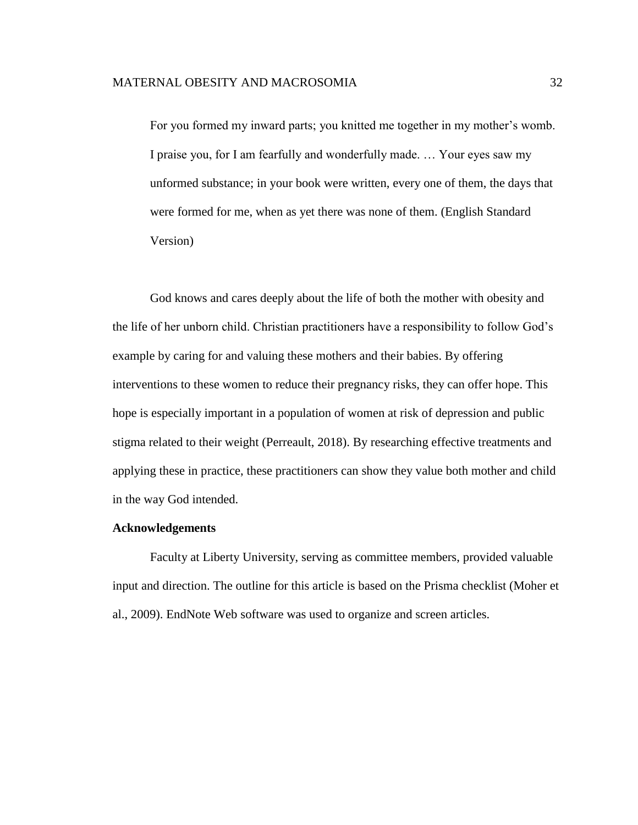For you formed my inward parts; you knitted me together in my mother's womb. I praise you, for I am fearfully and wonderfully made. … Your eyes saw my unformed substance; in your book were written, every one of them, the days that were formed for me, when as yet there was none of them. (English Standard Version)

 God knows and cares deeply about the life of both the mother with obesity and the life of her unborn child. Christian practitioners have a responsibility to follow God's example by caring for and valuing these mothers and their babies. By offering interventions to these women to reduce their pregnancy risks, they can offer hope. This hope is especially important in a population of women at risk of depression and public stigma related to their weight (Perreault, 2018). By researching effective treatments and applying these in practice, these practitioners can show they value both mother and child in the way God intended.

## **Acknowledgements**

Faculty at Liberty University, serving as committee members, provided valuable input and direction. The outline for this article is based on the Prisma checklist (Moher et al., 2009). EndNote Web software was used to organize and screen articles.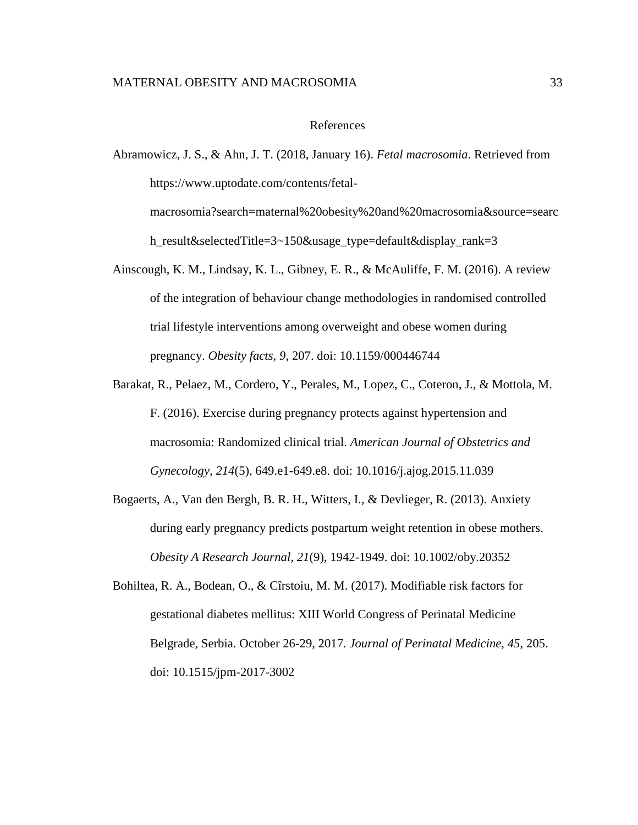## References

Abramowicz, J. S., & Ahn, J. T. (2018, January 16). *Fetal macrosomia*. Retrieved from https://www.uptodate.com/contents/fetal-

macrosomia?search=maternal%20obesity%20and%20macrosomia&source=searc h\_result&selectedTitle=3~150&usage\_type=default&display\_rank=3

- Ainscough, K. M., Lindsay, K. L., Gibney, E. R., & McAuliffe, F. M. (2016). A review of the integration of behaviour change methodologies in randomised controlled trial lifestyle interventions among overweight and obese women during pregnancy. *Obesity facts, 9*, 207. doi: [10.1159/000446744](http://dx.doi.org/10.1159/000446744)
- Barakat, R., Pelaez, M., Cordero, Y., Perales, M., Lopez, C., Coteron, J., & Mottola, M. F. (2016). Exercise during pregnancy protects against hypertension and macrosomia: Randomized clinical trial. *American Journal of Obstetrics and Gynecology, 214*(5), 649.e1-649.e8. [doi: 10.1016/j.ajog.2015.11.039](https://doi.org/10.1016/j.ajog.2015.11.039)
- Bogaerts, A., Van den Bergh, B. R. H., Witters, I., & Devlieger, R. (2013). Anxiety during early pregnancy predicts postpartum weight retention in obese mothers. *Obesity A Research Journal, 21*(9), 1942-1949. doi: 10.1002/oby.20352
- Bohiltea, R. A., Bodean, O., & Cîrstoiu, M. M. (2017). Modifiable risk factors for gestational diabetes mellitus: XIII World Congress of Perinatal Medicine Belgrade, Serbia. October 26-29, 2017. *Journal of Perinatal Medicine, 45*, 205. doi: 10.1515/jpm-2017-3002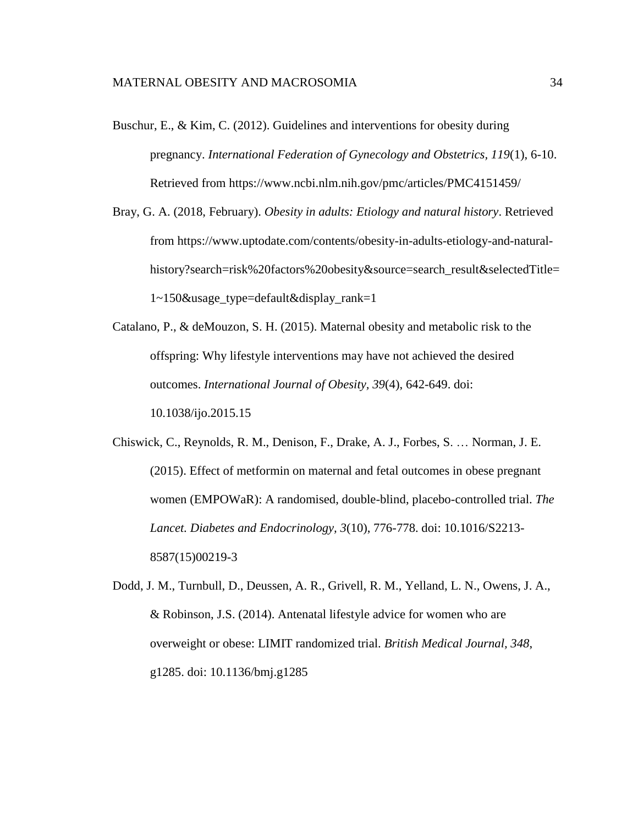- Buschur, E., & Kim, C. (2012). Guidelines and interventions for obesity during pregnancy. *International Federation of Gynecology and Obstetrics, 119*(1), 6-10. Retrieved from<https://www.ncbi.nlm.nih.gov/pmc/articles/PMC4151459/>
- Bray, G. A. (2018, February). *Obesity in adults: Etiology and natural history*. Retrieved from https://www.uptodate.com/contents/obesity-in-adults-etiology-and-naturalhistory?search=risk%20factors%20obesity&source=search\_result&selectedTitle= 1~150&usage\_type=default&display\_rank=1

Catalano, P., & deMouzon, S. H. (2015). Maternal obesity and metabolic risk to the offspring: Why lifestyle interventions may have not achieved the desired outcomes. *International Journal of Obesity, 39*(4), 642-649. doi: 10.1038/ijo.2015.15

Chiswick, C., Reynolds, R. M., Denison, F., Drake, A. J., Forbes, S. … Norman, J. E. (2015). Effect of metformin on maternal and fetal outcomes in obese pregnant women (EMPOWaR): A randomised, double-blind, placebo-controlled trial. *The Lancet. Diabetes and Endocrinology, 3*(10), 776-778. doi: 10.1016/S2213- 8587(15)00219-3

Dodd, J. M., Turnbull, D., Deussen, A. R., Grivell, R. M., Yelland, L. N., Owens, J. A., & Robinson, J.S. (2014). Antenatal lifestyle advice for women who are overweight or obese: LIMIT randomized trial. *British Medical Journal, 348*, g1285. [doi: 10.1136/bmj.g1285](https://doi.org/10.1136/bmj.g1285)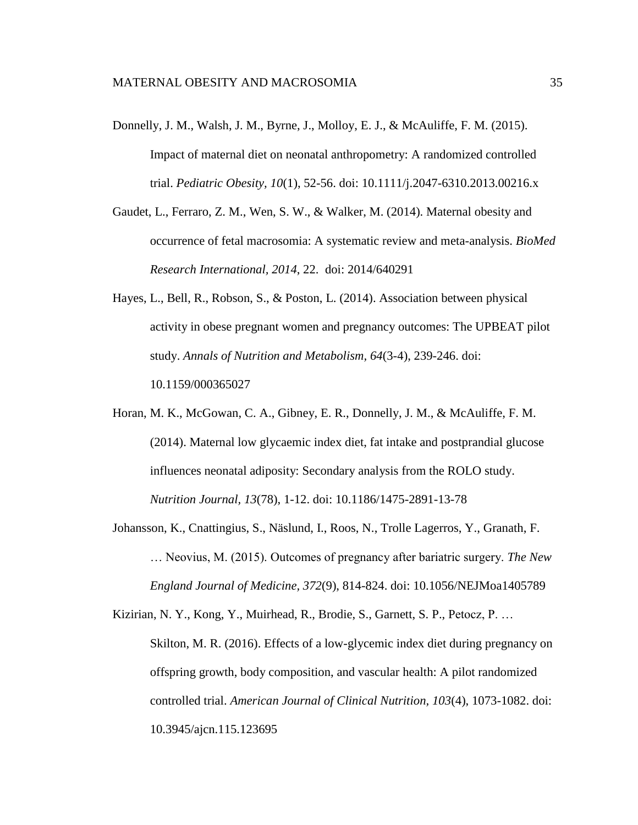- Donnelly, J. M., Walsh, J. M., Byrne, J., Molloy, E. J., & McAuliffe, F. M. (2015). Impact of maternal diet on neonatal anthropometry: A randomized controlled trial. *Pediatric Obesity, 10*(1), 52-56. doi: 10.1111/j.2047-6310.2013.00216.x
- Gaudet, L., Ferraro, Z. M., Wen, S. W., & Walker, M. (2014). Maternal obesity and occurrence of fetal macrosomia: A systematic review and meta-analysis. *BioMed Research International, 2014*, 22. doi: 2014/640291
- Hayes, L., Bell, R., Robson, S., & Poston, L. (2014). Association between physical activity in obese pregnant women and pregnancy outcomes: The UPBEAT pilot study. *Annals of Nutrition and Metabolism, 64*(3-4), 239-246. doi: 10.1159/000365027
- Horan, M. K., McGowan, C. A., Gibney, E. R., Donnelly, J. M., & McAuliffe, F. M. (2014). Maternal low glycaemic index diet, fat intake and postprandial glucose influences neonatal adiposity: Secondary analysis from the ROLO study. *Nutrition Journal, 13*(78), 1-12. doi: 10.1186/1475-2891-13-78
- Johansson, K., Cnattingius, S., Näslund, I., Roos, N., Trolle Lagerros, Y., Granath, F. … Neovius, M. (2015). Outcomes of pregnancy after bariatric surgery. *The New England Journal of Medicine, 372*(9), 814-824. doi: 10.1056/NEJMoa1405789
- Kizirian, N. Y., Kong, Y., Muirhead, R., Brodie, S., Garnett, S. P., Petocz, P. … Skilton, M. R. (2016). Effects of a low-glycemic index diet during pregnancy on offspring growth, body composition, and vascular health: A pilot randomized controlled trial. *American Journal of Clinical Nutrition, 103*(4), 1073-1082. doi: 10.3945/ajcn.115.123695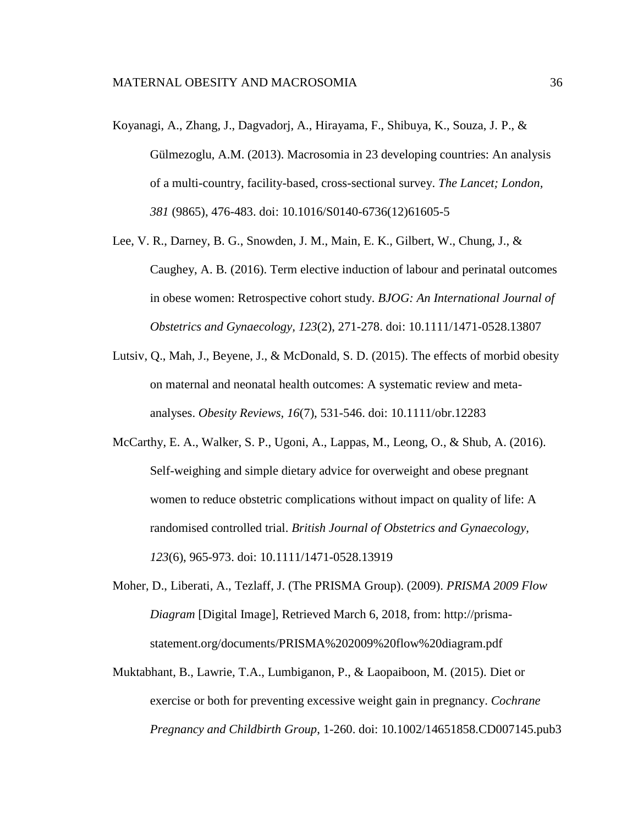- Koyanagi, A., Zhang, J., Dagvadorj, A., Hirayama, F., Shibuya, K., Souza, J. P., & Gülmezoglu, A.M. (2013). Macrosomia in 23 developing countries: An analysis of a multi-country, facility-based, cross-sectional survey. *The Lancet; London, 381* (9865), 476-483. doi: 10.1016/S0140-6736(12)61605-5
- Lee, V. R., Darney, B. G., Snowden, J. M., Main, E. K., Gilbert, W., Chung, J., & Caughey, A. B. (2016). Term elective induction of labour and perinatal outcomes in obese women: Retrospective cohort study. *BJOG: An International Journal of Obstetrics and Gynaecology, 123*(2), 271-278. doi: 10.1111/1471-0528.13807
- Lutsiv, Q., Mah, J., Beyene, J., & McDonald, S. D. (2015). The effects of morbid obesity on maternal and neonatal health outcomes: A systematic review and metaanalyses. *Obesity Reviews, 16*(7), 531-546. doi: 10.1111/obr.12283
- McCarthy, E. A., Walker, S. P., Ugoni, A., Lappas, M., Leong, O., & Shub, A. (2016). Self-weighing and simple dietary advice for overweight and obese pregnant women to reduce obstetric complications without impact on quality of life: A randomised controlled trial. *British Journal of Obstetrics and Gynaecology, 123*(6), 965-973. doi: 10.1111/1471-0528.13919
- Moher, D., Liberati, A., Tezlaff, J. (The PRISMA Group). (2009). *PRISMA 2009 Flow Diagram* [Digital Image], Retrieved March 6, 2018, from: http://prismastatement.org/documents/PRISMA%202009%20flow%20diagram.pdf
- Muktabhant, B., Lawrie, T.A., Lumbiganon, P., & Laopaiboon, M. (2015). Diet or exercise or both for preventing excessive weight gain in pregnancy. *Cochrane Pregnancy and Childbirth Group*, 1-260. doi: 10.1002/14651858.CD007145.pub3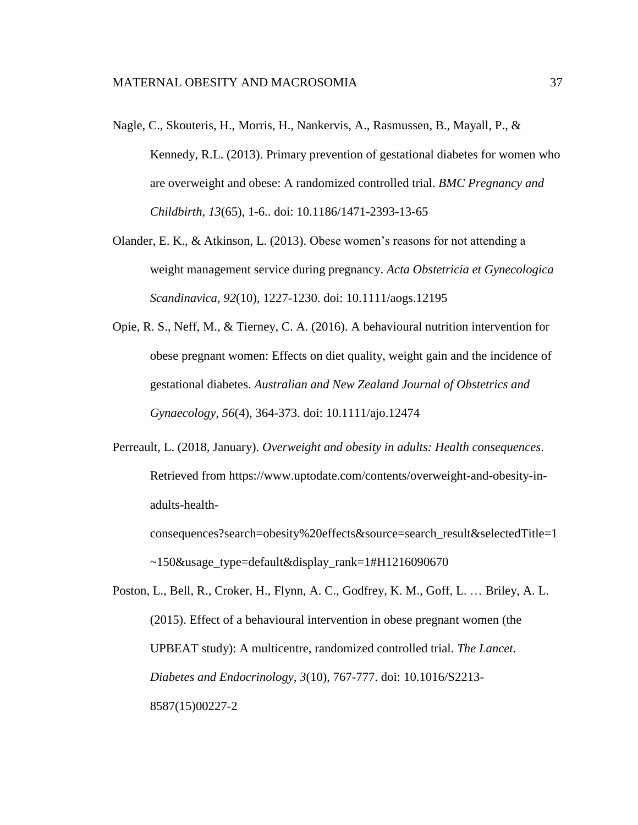- Nagle, C., Skouteris, H., Morris, H., Nankervis, A., Rasmussen, B., Mayall, P., & Kennedy, R.L. (2013). Primary prevention of gestational diabetes for women who are overweight and obese: A randomized controlled trial. *BMC Pregnancy and Childbirth, 13*(65), 1-6.. doi: 10.1186/1471-2393-13-65
- Olander, E. K., & Atkinson, L. (2013). Obese women's reasons for not attending a weight management service during pregnancy. *Acta Obstetricia et Gynecologica Scandinavica, 92*(10), 1227-1230. doi: 10.1111/aogs.12195
- Opie, R. S., Neff, M., & Tierney, C. A. (2016). A behavioural nutrition intervention for obese pregnant women: Effects on diet quality, weight gain and the incidence of gestational diabetes. *Australian and New Zealand Journal of Obstetrics and Gynaecology, 56*(4), 364-373. doi: 10.1111/ajo.12474
- Perreault, L. (2018, January). *Overweight and obesity in adults: Health consequences*. Retrieved from https://www.uptodate.com/contents/overweight-and-obesity-inadults-health-

consequences?search=obesity%20effects&source=search\_result&selectedTitle=1  $\sim$ 150&usage type=default&display rank=1#H1216090670

Poston, L., Bell, R., Croker, H., Flynn, A. C., Godfrey, K. M., Goff, L. … Briley, A. L. (2015). Effect of a behavioural intervention in obese pregnant women (the UPBEAT study): A multicentre, randomized controlled trial. *The Lancet. Diabetes and Endocrinology, 3*(10), 767-777. doi: 10.1016/S2213- 8587(15)00227-2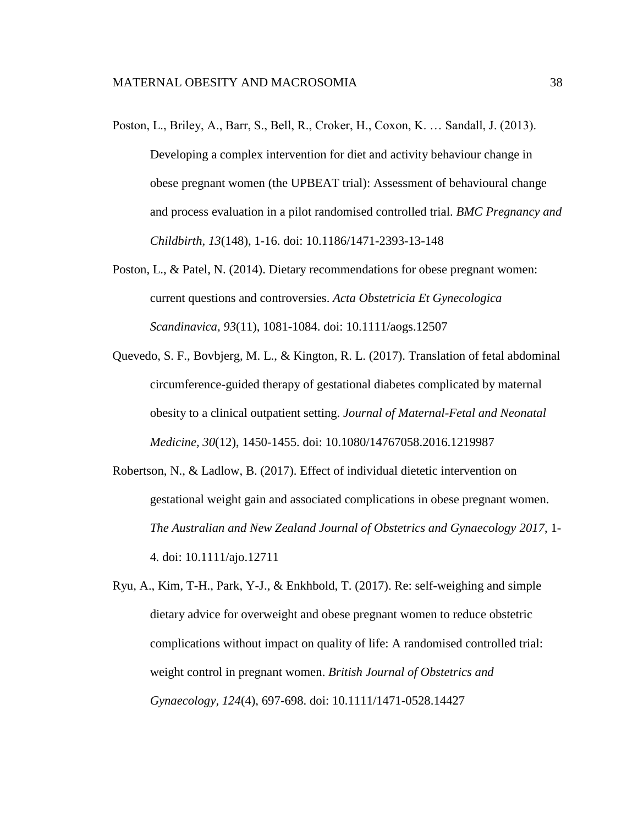- Poston, L., Briley, A., Barr, S., Bell, R., Croker, H., Coxon, K. … Sandall, J. (2013). Developing a complex intervention for diet and activity behaviour change in obese pregnant women (the UPBEAT trial): Assessment of behavioural change and process evaluation in a pilot randomised controlled trial. *BMC Pregnancy and Childbirth, 13*(148), 1-16. doi: 10.1186/1471-2393-13-148
- Poston, L., & Patel, N. (2014). Dietary recommendations for obese pregnant women: current questions and controversies. *Acta Obstetricia Et Gynecologica Scandinavica, 93*(11), 1081-1084. doi: 10.1111/aogs.12507
- Quevedo, S. F., Bovbjerg, M. L., & Kington, R. L. (2017). Translation of fetal abdominal circumference-guided therapy of gestational diabetes complicated by maternal obesity to a clinical outpatient setting. *Journal of Maternal-Fetal and Neonatal Medicine, 30*(12), 1450-1455. doi: 10.1080/14767058.2016.1219987
- Robertson, N., & Ladlow, B. (2017). Effect of individual dietetic intervention on gestational weight gain and associated complications in obese pregnant women. *The Australian and New Zealand Journal of Obstetrics and Gynaecology 2017*, 1- 4*.* doi: 10.1111/ajo.12711
- Ryu, A., Kim, T-H., Park, Y-J., & Enkhbold, T. (2017). Re: self-weighing and simple dietary advice for overweight and obese pregnant women to reduce obstetric complications without impact on quality of life: A randomised controlled trial: weight control in pregnant women. *British Journal of Obstetrics and Gynaecology, 124*(4), 697-698. doi: 10.1111/1471-0528.14427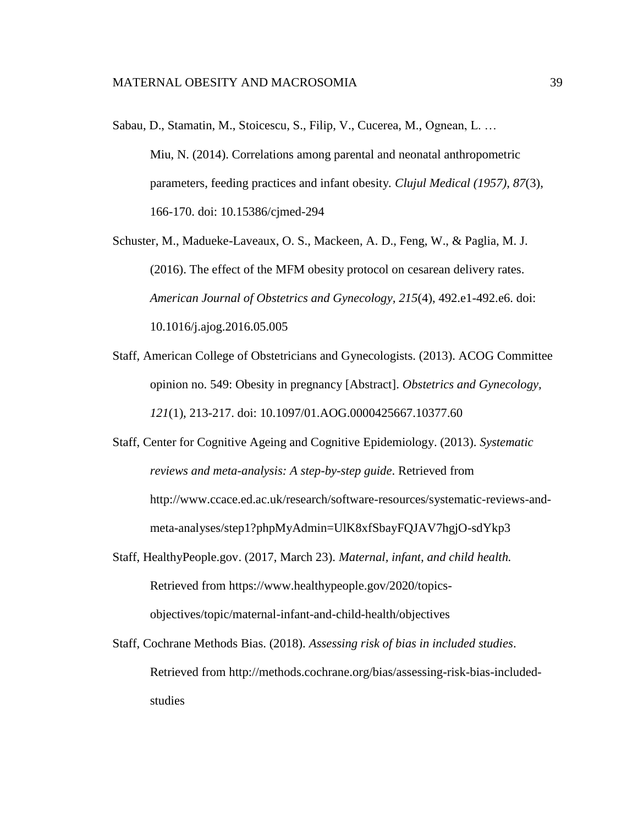- Sabau, D., Stamatin, M., Stoicescu, S., Filip, V., Cucerea, M., Ognean, L. … Miu, N. (2014). Correlations among parental and neonatal anthropometric parameters, feeding practices and infant obesity*. Clujul Medical (1957), 87*(3), 166-170. doi: 10.15386/cjmed-294
- Schuster, M., Madueke-Laveaux, O. S., Mackeen, A. D., Feng, W., & Paglia, M. J. (2016). The effect of the MFM obesity protocol on cesarean delivery rates. *American Journal of Obstetrics and Gynecology, 215*(4), 492.e1-492.e6. doi: 10.1016/j.ajog.2016.05.005
- Staff, American College of Obstetricians and Gynecologists. (2013). ACOG Committee opinion no. 549: Obesity in pregnancy [Abstract]. *Obstetrics and Gynecology, 121*(1), 213-217. doi: 10.1097/01.AOG.0000425667.10377.60
- Staff, Center for Cognitive Ageing and Cognitive Epidemiology. (2013). *Systematic reviews and meta-analysis: A step-by-step guide*. Retrieved from http://www.ccace.ed.ac.uk/research/software-resources/systematic-reviews-andmeta-analyses/step1?phpMyAdmin=UlK8xfSbayFQJAV7hgjO-sdYkp3
- Staff, HealthyPeople.gov. (2017, March 23). *Maternal, infant, and child health.*  Retrieved from [https://www.healthypeople.gov/2020/topics](https://www.healthypeople.gov/2020/topics-objectives/topic/maternal-infant-and-child-health/objectives)[objectives/topic/maternal-infant-and-child-health/objectives](https://www.healthypeople.gov/2020/topics-objectives/topic/maternal-infant-and-child-health/objectives)
- Staff, Cochrane Methods Bias. (2018). *Assessing risk of bias in included studies*. Retrieved from http://methods.cochrane.org/bias/assessing-risk-bias-includedstudies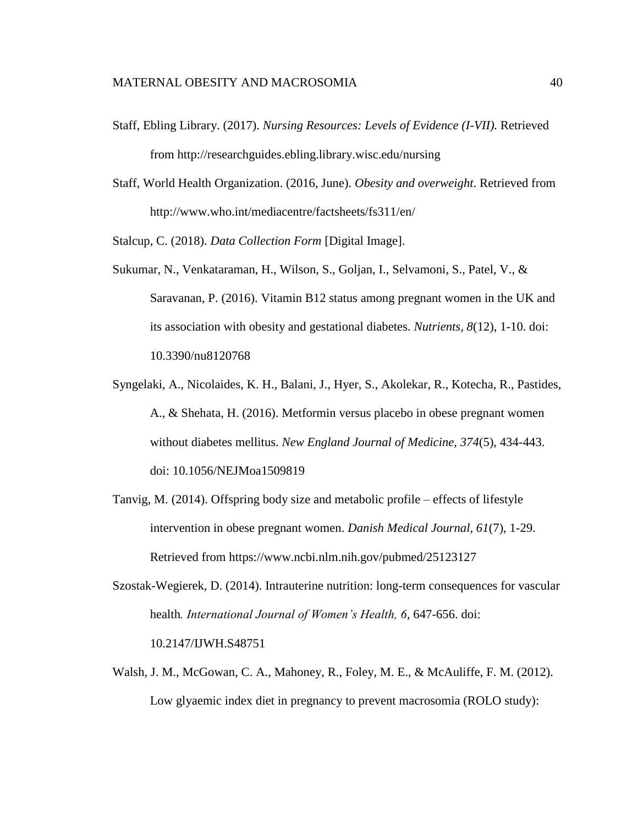- Staff, Ebling Library. (2017). *Nursing Resources: Levels of Evidence (I-VII).* Retrieved from<http://researchguides.ebling.library.wisc.edu/nursing>
- Staff, World Health Organization. (2016, June). *Obesity and overweight*. Retrieved from <http://www.who.int/mediacentre/factsheets/fs311/en/>

Stalcup, C. (2018). *Data Collection Form* [Digital Image].

- Sukumar, N., Venkataraman, H., Wilson, S., Goljan, I., Selvamoni, S., Patel, V., & Saravanan, P. (2016). Vitamin B12 status among pregnant women in the UK and its association with obesity and gestational diabetes. *Nutrients, 8*(12), 1-10. doi: 10.3390/nu8120768
- Syngelaki, A., Nicolaides, K. H., Balani, J., Hyer, S., Akolekar, R., Kotecha, R., Pastides, A., & Shehata, H. (2016). Metformin versus placebo in obese pregnant women without diabetes mellitus. *New England Journal of Medicine, 374*(5), 434-443. doi: 10.1056/NEJMoa1509819
- Tanvig, M. (2014). Offspring body size and metabolic profile effects of lifestyle intervention in obese pregnant women. *Danish Medical Journal, 61*(7), 1-29. Retrieved from<https://www.ncbi.nlm.nih.gov/pubmed/25123127>
- Szostak-Wegierek, D. (2014). Intrauterine nutrition: long-term consequences for vascular health*. International Journal of Women's Health, 6*, 647-656. doi: 10.2147/IJWH.S48751
- Walsh, J. M., McGowan, C. A., Mahoney, R., Foley, M. E., & McAuliffe, F. M. (2012). Low glyaemic index diet in pregnancy to prevent macrosomia (ROLO study):